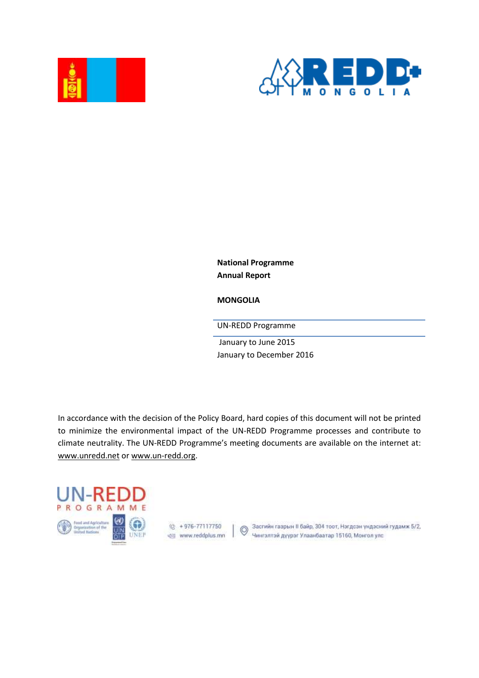



**National Programme Annual Report** 

**MONGOLIA**

UN-REDD Programme

January to June 2015 January to December 2016

In accordance with the decision of the Policy Board, hard copies of this document will not be printed to minimize the environmental impact of the UN-REDD Programme processes and contribute to climate neutrality. The UN-REDD Programme's meeting documents are available on the internet at: [www.unredd.net](http://www.unredd.net/) or [www.un-redd.org.](http://www.un-redd.org/)





® +976-77117750 (3асгийн газрын II байр, 304 тоот, Нэгдсэн үндэсний гудамж 5/2,<br>© (www.reddplus.mn (V) Чингэлтэй дүүрэг Улаанбаатар 15160, Монгол улс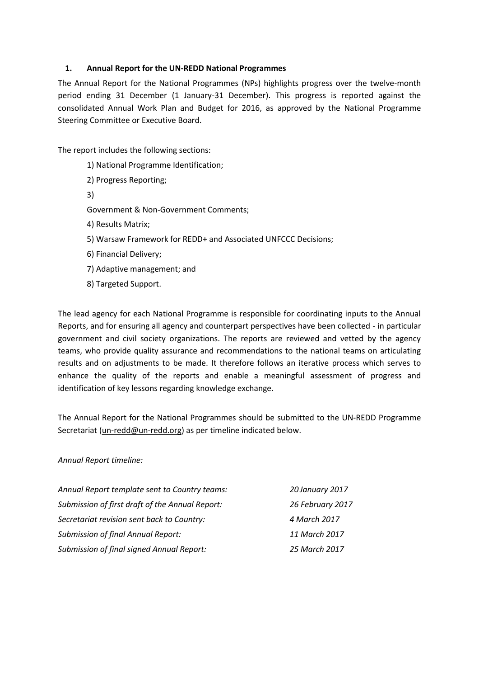## **1. Annual Report for the UN-REDD National Programmes**

The Annual Report for the National Programmes (NPs) highlights progress over the twelve-month period ending 31 December (1 January-31 December). This progress is reported against the consolidated Annual Work Plan and Budget for 2016, as approved by the National Programme Steering Committee or Executive Board.

The report includes the following sections:

- 1[\) National Programme Identification;](#page-2-0)
- 2) Progress [Reporting;](#page-4-0)
- 3[\)](#page-5-0)

[Government & Non-Government Comments;](#page-5-0)

- 4[\) Results Matrix;](#page-8-0)
- 5[\) Warsaw Framework for REDD+ and Associated UNFCCC Decisions;](#page-25-0)
- 6[\) Financial Delivery;](#page-33-0)
- 7[\) Adaptive management;](#page-35-0) and
- 8[\) Targeted Support.](#page-37-0)

The lead agency for each National Programme is responsible for coordinating inputs to the Annual Reports, and for ensuring all agency and counterpart perspectives have been collected - in particular government and civil society organizations. The reports are reviewed and vetted by the agency teams, who provide quality assurance and recommendations to the national teams on articulating results and on adjustments to be made. It therefore follows an iterative process which serves to enhance the quality of the reports and enable a meaningful assessment of progress and identification of key lessons regarding knowledge exchange.

The Annual Report for the National Programmes should be submitted to the UN-REDD Programme Secretariat [\(un-redd@un-redd.org\)](mailto:un-redd@un-redd.org) as per timeline indicated below.

*Annual Report timeline:*

| Annual Report template sent to Country teams:   | 20 January 2017  |
|-------------------------------------------------|------------------|
| Submission of first draft of the Annual Report: | 26 February 2017 |
| Secretariat revision sent back to Country:      | 4 March 2017     |
| <b>Submission of final Annual Report:</b>       | 11 March 2017    |
| Submission of final signed Annual Report:       | 25 March 2017    |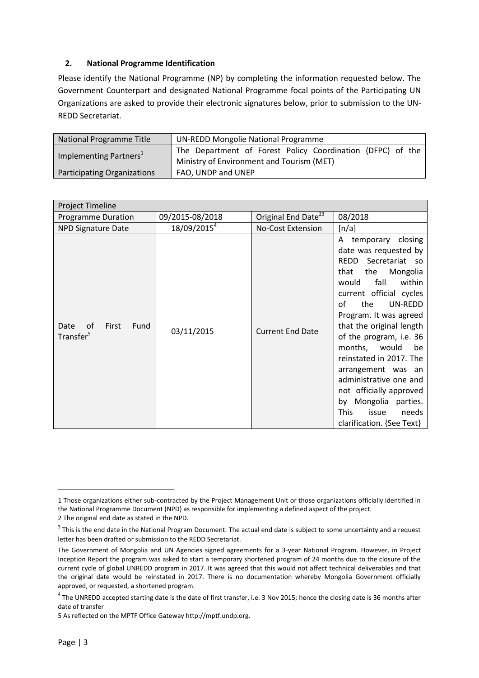## <span id="page-2-0"></span>**2. National Programme Identification**

Please identify the National Programme (NP) by completing the information requested below. The Government Counterpart and designated National Programme focal points of the Participating UN Organizations are asked to provide their electronic signatures below, prior to submission to the UN-REDD Secretariat.

| National Programme Title           | UN-REDD Mongolie National Programme                        |  |  |
|------------------------------------|------------------------------------------------------------|--|--|
| Implementing Partners <sup>1</sup> | The Department of Forest Policy Coordination (DFPC) of the |  |  |
|                                    | Ministry of Environment and Tourism (MET)                  |  |  |
| Participating Organizations        | FAO, UNDP and UNEP                                         |  |  |

| Project Timeline                                     |                         |                                 |                                                                                                                                                                                                                                                                                                                                                                                                                                                                                     |  |
|------------------------------------------------------|-------------------------|---------------------------------|-------------------------------------------------------------------------------------------------------------------------------------------------------------------------------------------------------------------------------------------------------------------------------------------------------------------------------------------------------------------------------------------------------------------------------------------------------------------------------------|--|
| <b>Programme Duration</b>                            | 09/2015-08/2018         | Original End Date <sup>23</sup> | 08/2018                                                                                                                                                                                                                                                                                                                                                                                                                                                                             |  |
| <b>NPD Signature Date</b>                            | 18/09/2015 <sup>4</sup> | <b>No-Cost Extension</b>        | [n/a]                                                                                                                                                                                                                                                                                                                                                                                                                                                                               |  |
| Date<br>οf<br>First<br>Fund<br>Transfer <sup>5</sup> | 03/11/2015              | <b>Current End Date</b>         | A temporary closing<br>date was requested by<br>REDD<br>Secretariat so<br>the<br>Mongolia<br>that<br>fall<br>within<br>would<br>current official cycles<br>the<br>UN-REDD<br>οf<br>Program. It was agreed<br>that the original length<br>of the program, i.e. 36<br>months, would<br>be<br>reinstated in 2017. The<br>arrangement was an<br>administrative one and<br>not officially approved<br>by Mongolia parties.<br><b>This</b><br>needs<br>issue<br>clarification. {See Text} |  |

**.** 

<sup>1</sup> Those organizations either sub-contracted by the Project Management Unit or those organizations officially identified in the National Programme Document (NPD) as responsible for implementing a defined aspect of the project.

<sup>2</sup> The original end date as stated in the NPD.

 $3$  This is the end date in the National Program Document. The actual end date is subject to some uncertainty and a request letter has been drafted or submission to the REDD Secretariat.

The Government of Mongolia and UN Agencies signed agreements for a 3-year National Program. However, in Project Inception Report the program was asked to start a temporary shortened program of 24 months due to the closure of the current cycle of global UNREDD program in 2017. It was agreed that this would not affect technical deliverables and that the original date would be reinstated in 2017. There is no documentation whereby Mongolia Government officially approved, or requested, a shortened program.

 $^4$  The UNREDD accepted starting date is the date of first transfer, i.e. 3 Nov 2015; hence the closing date is 36 months after date of transfer

<sup>5</sup> As reflected on the MPTF Office Gateway http://mptf.undp.org.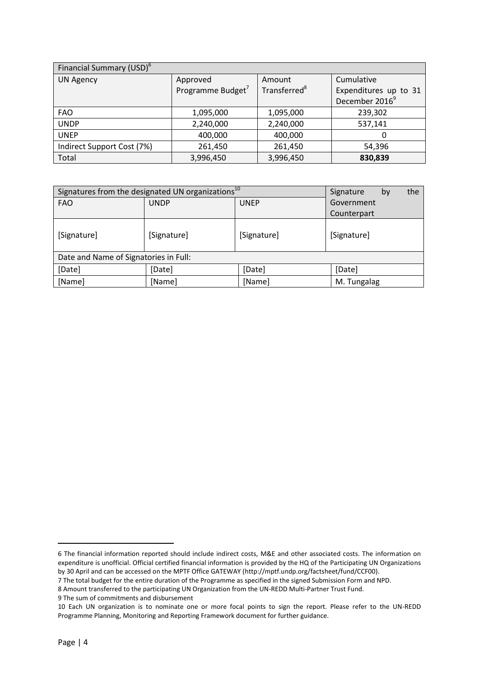| Financial Summary (USD) <sup>6</sup> |                               |                          |                            |  |
|--------------------------------------|-------------------------------|--------------------------|----------------------------|--|
| <b>UN Agency</b>                     | Approved                      | Amount                   | Cumulative                 |  |
|                                      | Programme Budget <sup>7</sup> | Transferred <sup>8</sup> | Expenditures up to 31      |  |
|                                      |                               |                          | December 2016 <sup>9</sup> |  |
| <b>FAO</b>                           | 1,095,000                     | 1,095,000                | 239,302                    |  |
| <b>UNDP</b>                          | 2,240,000                     | 2,240,000                | 537,141                    |  |
| <b>UNEP</b>                          | 400,000                       | 400,000                  | O                          |  |
| Indirect Support Cost (7%)           | 261,450                       | 261,450                  | 54,396                     |  |
| Total                                | 3,996,450                     | 3,996,450                | 830,839                    |  |

| Signatures from the designated UN organizations <sup>10</sup> | the<br>Signature<br>by |             |             |
|---------------------------------------------------------------|------------------------|-------------|-------------|
| <b>FAO</b>                                                    | <b>UNDP</b>            | <b>UNEP</b> | Government  |
|                                                               |                        |             | Counterpart |
| [Signature]                                                   | [Signature]            | [Signature] | [Signature] |
| Date and Name of Signatories in Full:                         |                        |             |             |
| [Date]                                                        | [Date]                 | [Date]      | [Date]      |
| [Name]                                                        | [Name]                 | [Name]      | M. Tungalag |

9 The sum of commitments and disbursement

**.** 

<sup>6</sup> The financial information reported should include indirect costs, M&E and other associated costs. The information on expenditure is unofficial. Official certified financial information is provided by the HQ of the Participating UN Organizations by 30 April and can be accessed on the MPTF Office GATEWAY [\(http://mptf.undp.org/factsheet/fund/CCF00\)](http://mptf.undp.org/factsheet/fund/CCF00).

<sup>7</sup> The total budget for the entire duration of the Programme as specified in the signed Submission Form and NPD.

<sup>8</sup> Amount transferred to the participating UN Organization from the UN-REDD Multi-Partner Trust Fund.

<sup>10</sup> Each UN organization is to nominate one or more focal points to sign the report. Please refer to the UN-REDD Programme Planning, Monitoring and Reporting Framework document for further guidance.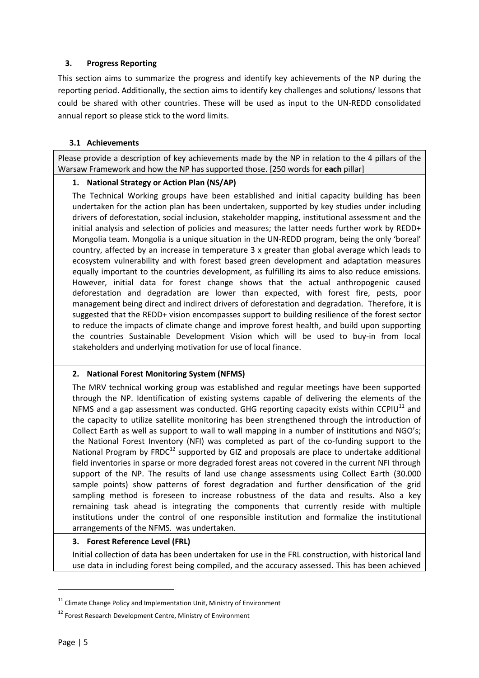## <span id="page-4-0"></span>**3. Progress Reporting**

This section aims to summarize the progress and identify key achievements of the NP during the reporting period. Additionally, the section aims to identify key challenges and solutions/ lessons that could be shared with other countries. These will be used as input to the UN-REDD consolidated annual report so please stick to the word limits.

## **3.1 Achievements**

Please provide a description of key achievements made by the NP in relation to the 4 pillars of the Warsaw Framework and how the NP has supported those. [250 words for **each** pillar]

## **1. National Strategy or Action Plan (NS/AP)**

The Technical Working groups have been established and initial capacity building has been undertaken for the action plan has been undertaken, supported by key studies under including drivers of deforestation, social inclusion, stakeholder mapping, institutional assessment and the initial analysis and selection of policies and measures; the latter needs further work by REDD+ Mongolia team. Mongolia is a unique situation in the UN-REDD program, being the only 'boreal' country, affected by an increase in temperature 3 x greater than global average which leads to ecosystem vulnerability and with forest based green development and adaptation measures equally important to the countries development, as fulfilling its aims to also reduce emissions. However, initial data for forest change shows that the actual anthropogenic caused deforestation and degradation are lower than expected, with forest fire, pests, poor management being direct and indirect drivers of deforestation and degradation. Therefore, it is suggested that the REDD+ vision encompasses support to building resilience of the forest sector to reduce the impacts of climate change and improve forest health, and build upon supporting the countries Sustainable Development Vision which will be used to buy-in from local stakeholders and underlying motivation for use of local finance.

## **2. National Forest Monitoring System (NFMS)**

The MRV technical working group was established and regular meetings have been supported through the NP. Identification of existing systems capable of delivering the elements of the NFMS and a gap assessment was conducted. GHG reporting capacity exists within CCPIU $^{11}$  and the capacity to utilize satellite monitoring has been strengthened through the introduction of Collect Earth as well as support to wall to wall mapping in a number of institutions and NGO's; the National Forest Inventory (NFI) was completed as part of the co-funding support to the National Program by  $FRDC^{12}$  supported by GIZ and proposals are place to undertake additional field inventories in sparse or more degraded forest areas not covered in the current NFI through support of the NP. The results of land use change assessments using Collect Earth (30.000 sample points) show patterns of forest degradation and further densification of the grid sampling method is foreseen to increase robustness of the data and results. Also a key remaining task ahead is integrating the components that currently reside with multiple institutions under the control of one responsible institution and formalize the institutional arrangements of the NFMS. was undertaken.

## **3. Forest Reference Level (FRL)**

Initial collection of data has been undertaken for use in the FRL construction, with historical land use data in including forest being compiled, and the accuracy assessed. This has been achieved

**.** 

 $11$  Climate Change Policy and Implementation Unit, Ministry of Environment

<sup>&</sup>lt;sup>12</sup> Forest Research Development Centre, Ministry of Environment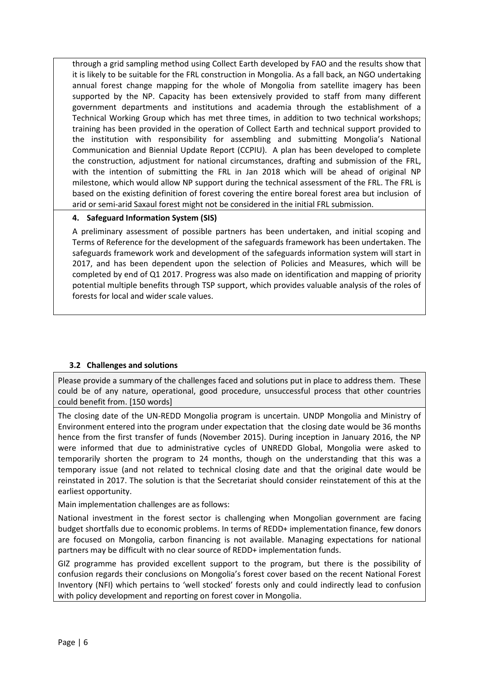through a grid sampling method using Collect Earth developed by FAO and the results show that it is likely to be suitable for the FRL construction in Mongolia. As a fall back, an NGO undertaking annual forest change mapping for the whole of Mongolia from satellite imagery has been supported by the NP. Capacity has been extensively provided to staff from many different government departments and institutions and academia through the establishment of a Technical Working Group which has met three times, in addition to two technical workshops; training has been provided in the operation of Collect Earth and technical support provided to the institution with responsibility for assembling and submitting Mongolia's National Communication and Biennial Update Report (CCPIU). A plan has been developed to complete the construction, adjustment for national circumstances, drafting and submission of the FRL, with the intention of submitting the FRL in Jan 2018 which will be ahead of original NP milestone, which would allow NP support during the technical assessment of the FRL. The FRL is based on the existing definition of forest covering the entire boreal forest area but inclusion of arid or semi-arid Saxaul forest might not be considered in the initial FRL submission.

# **4. Safeguard Information System (SIS)**

A preliminary assessment of possible partners has been undertaken, and initial scoping and Terms of Reference for the development of the safeguards framework has been undertaken. The safeguards framework work and development of the safeguards information system will start in 2017, and has been dependent upon the selection of Policies and Measures, which will be completed by end of Q1 2017. Progress was also made on identification and mapping of priority potential multiple benefits through TSP support, which provides valuable analysis of the roles of forests for local and wider scale values.

# **3.2 Challenges and solutions**

Please provide a summary of the challenges faced and solutions put in place to address them. These could be of any nature, operational, good procedure, unsuccessful process that other countries could benefit from. [150 words]

The closing date of the UN-REDD Mongolia program is uncertain. UNDP Mongolia and Ministry of Environment entered into the program under expectation that the closing date would be 36 months hence from the first transfer of funds (November 2015). During inception in January 2016, the NP were informed that due to administrative cycles of UNREDD Global, Mongolia were asked to temporarily shorten the program to 24 months, though on the understanding that this was a temporary issue (and not related to technical closing date and that the original date would be reinstated in 2017. The solution is that the Secretariat should consider reinstatement of this at the earliest opportunity.

Main implementation challenges are as follows:

National investment in the forest sector is challenging when Mongolian government are facing budget shortfalls due to economic problems. In terms of REDD+ implementation finance, few donors are focused on Mongolia, carbon financing is not available. Managing expectations for national partners may be difficult with no clear source of REDD+ implementation funds.

<span id="page-5-0"></span>GIZ programme has provided excellent support to the program, but there is the possibility of confusion regards their conclusions on Mongolia's forest cover based on the recent National Forest Inventory (NFI) which pertains to 'well stocked' forests only and could indirectly lead to confusion with policy development and reporting on forest cover in Mongolia.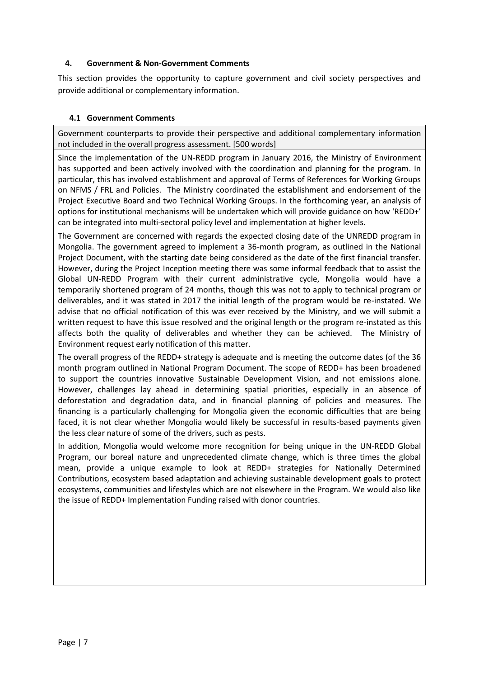### **4. Government & Non-Government Comments**

This section provides the opportunity to capture government and civil society perspectives and provide additional or complementary information.

## **4.1 Government Comments**

Government counterparts to provide their perspective and additional complementary information not included in the overall progress assessment. [500 words]

Since the implementation of the UN-REDD program in January 2016, the Ministry of Environment has supported and been actively involved with the coordination and planning for the program. In particular, this has involved establishment and approval of Terms of References for Working Groups on NFMS / FRL and Policies. The Ministry coordinated the establishment and endorsement of the Project Executive Board and two Technical Working Groups. In the forthcoming year, an analysis of options for institutional mechanisms will be undertaken which will provide guidance on how 'REDD+' can be integrated into multi-sectoral policy level and implementation at higher levels.

The Government are concerned with regards the expected closing date of the UNREDD program in Mongolia. The government agreed to implement a 36-month program, as outlined in the National Project Document, with the starting date being considered as the date of the first financial transfer. However, during the Project Inception meeting there was some informal feedback that to assist the Global UN-REDD Program with their current administrative cycle, Mongolia would have a temporarily shortened program of 24 months, though this was not to apply to technical program or deliverables, and it was stated in 2017 the initial length of the program would be re-instated. We advise that no official notification of this was ever received by the Ministry, and we will submit a written request to have this issue resolved and the original length or the program re-instated as this affects both the quality of deliverables and whether they can be achieved. The Ministry of Environment request early notification of this matter.

The overall progress of the REDD+ strategy is adequate and is meeting the outcome dates (of the 36 month program outlined in National Program Document. The scope of REDD+ has been broadened to support the countries innovative Sustainable Development Vision, and not emissions alone. However, challenges lay ahead in determining spatial priorities, especially in an absence of deforestation and degradation data, and in financial planning of policies and measures. The financing is a particularly challenging for Mongolia given the economic difficulties that are being faced, it is not clear whether Mongolia would likely be successful in results-based payments given the less clear nature of some of the drivers, such as pests.

In addition, Mongolia would welcome more recognition for being unique in the UN-REDD Global Program, our boreal nature and unprecedented climate change, which is three times the global mean, provide a unique example to look at REDD+ strategies for Nationally Determined Contributions, ecosystem based adaptation and achieving sustainable development goals to protect ecosystems, communities and lifestyles which are not elsewhere in the Program. We would also like the issue of REDD+ Implementation Funding raised with donor countries.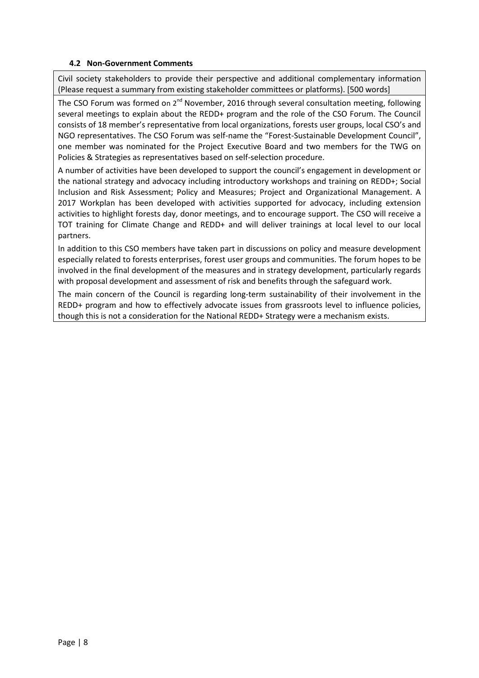## **4.2 Non-Government Comments**

Civil society stakeholders to provide their perspective and additional complementary information (Please request a summary from existing stakeholder committees or platforms). [500 words]

The CSO Forum was formed on  $2^{nd}$  November, 2016 through several consultation meeting, following several meetings to explain about the REDD+ program and the role of the CSO Forum. The Council consists of 18 member's representative from local organizations, forests user groups, local CSO's and NGO representatives. The CSO Forum was self-name the "Forest-Sustainable Development Council", one member was nominated for the Project Executive Board and two members for the TWG on Policies & Strategies as representatives based on self-selection procedure.

A number of activities have been developed to support the council's engagement in development or the national strategy and advocacy including introductory workshops and training on REDD+; Social Inclusion and Risk Assessment; Policy and Measures; Project and Organizational Management. A 2017 Workplan has been developed with activities supported for advocacy, including extension activities to highlight forests day, donor meetings, and to encourage support. The CSO will receive a TOT training for Climate Change and REDD+ and will deliver trainings at local level to our local partners.

In addition to this CSO members have taken part in discussions on policy and measure development especially related to forests enterprises, forest user groups and communities. The forum hopes to be involved in the final development of the measures and in strategy development, particularly regards with proposal development and assessment of risk and benefits through the safeguard work.

The main concern of the Council is regarding long-term sustainability of their involvement in the REDD+ program and how to effectively advocate issues from grassroots level to influence policies, though this is not a consideration for the National REDD+ Strategy were a mechanism exists.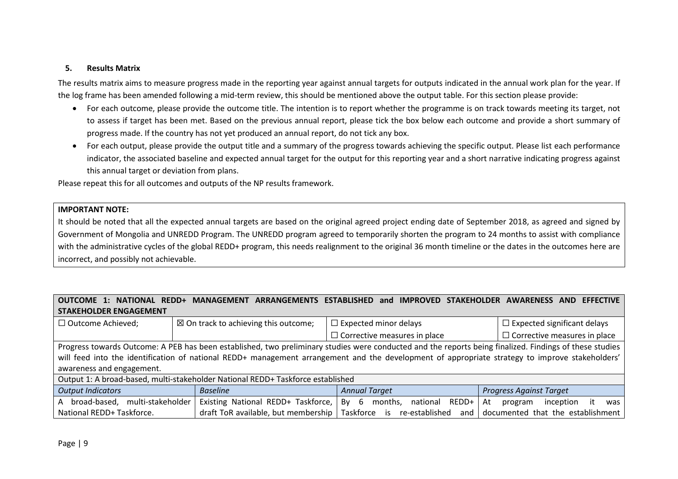#### **5. Results Matrix**

The results matrix aims to measure progress made in the reporting year against annual targets for outputs indicated in the annual work plan for the year. If the log frame has been amended following a mid-term review, this should be mentioned above the output table. For this section please provide:

- For each outcome, please provide the outcome title. The intention is to report whether the programme is on track towards meeting its target, not to assess if target has been met. Based on the previous annual report, please tick the box below each outcome and provide a short summary of progress made. If the country has not yet produced an annual report, do not tick any box.
- For each output, please provide the output title and a summary of the progress towards achieving the specific output. Please list each performance indicator, the associated baseline and expected annual target for the output for this reporting year and a short narrative indicating progress against this annual target or deviation from plans.

Please repeat this for all outcomes and outputs of the NP results framework.

#### **IMPORTANT NOTE:**

<span id="page-8-0"></span>It should be noted that all the expected annual targets are based on the original agreed project ending date of September 2018, as agreed and signed by Government of Mongolia and UNREDD Program. The UNREDD program agreed to temporarily shorten the program to 24 months to assist with compliance with the administrative cycles of the global REDD+ program, this needs realignment to the original 36 month timeline or the dates in the outcomes here are incorrect, and possibly not achievable.

## **OUTCOME 1: NATIONAL REDD+ MANAGEMENT ARRANGEMENTS ESTABLISHED and IMPROVED STAKEHOLDER AWARENESS AND EFFECTIVE STAKEHOLDER ENGAGEMENT**

| □ Outcome Achieved;                                                             | $\boxtimes$ On track to achieving this outcome; | $\Box$ Expected minor delays                                                                                                                            | $\Box$ Expected significant delays      |
|---------------------------------------------------------------------------------|-------------------------------------------------|---------------------------------------------------------------------------------------------------------------------------------------------------------|-----------------------------------------|
|                                                                                 |                                                 | $\Box$ Corrective measures in place                                                                                                                     | $\Box$ Corrective measures in place     |
|                                                                                 |                                                 | Progress towards Outcome: A PEB has been established, two preliminary studies were conducted and the reports being finalized. Findings of these studies |                                         |
|                                                                                 |                                                 | will feed into the identification of national REDD+ management arrangement and the development of appropriate strategy to improve stakeholders'         |                                         |
| awareness and engagement.                                                       |                                                 |                                                                                                                                                         |                                         |
| Output 1: A broad-based, multi-stakeholder National REDD+ Taskforce established |                                                 |                                                                                                                                                         |                                         |
| <b>Output Indicators</b>                                                        | <b>Baseline</b>                                 | <b>Annual Target</b>                                                                                                                                    | <b>Progress Against Target</b>          |
| multi-stakeholder<br>broad-based,<br>А                                          | Existing National REDD+ Taskforce,              | 6<br>REDD+<br>Bv<br>national<br>months.                                                                                                                 | At<br>inception<br>it<br>was<br>program |
| National REDD+ Taskforce.                                                       | draft ToR available, but membership             | Taskforce is<br>re-established<br>and                                                                                                                   | documented that the establishment       |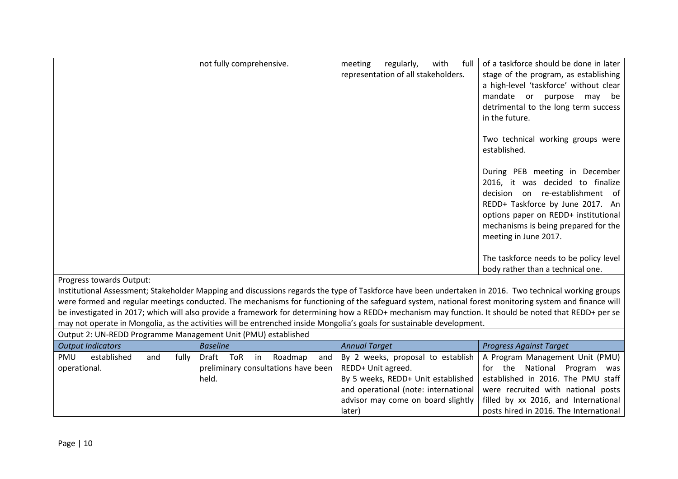|                                                               | not fully comprehensive.             | with<br>meeting<br>regularly,<br>full<br>representation of all stakeholders.                                           | of a taskforce should be done in later<br>stage of the program, as establishing<br>a high-level 'taskforce' without clear<br>mandate or purpose<br>may be<br>detrimental to the long term success<br>in the future.<br>Two technical working groups were<br>established.<br>During PEB meeting in December<br>2016, it was decided to finalize<br>decision on re-establishment of<br>REDD+ Taskforce by June 2017. An<br>options paper on REDD+ institutional<br>mechanisms is being prepared for the<br>meeting in June 2017.<br>The taskforce needs to be policy level |
|---------------------------------------------------------------|--------------------------------------|------------------------------------------------------------------------------------------------------------------------|--------------------------------------------------------------------------------------------------------------------------------------------------------------------------------------------------------------------------------------------------------------------------------------------------------------------------------------------------------------------------------------------------------------------------------------------------------------------------------------------------------------------------------------------------------------------------|
| Progress towards Output:                                      |                                      |                                                                                                                        | body rather than a technical one.                                                                                                                                                                                                                                                                                                                                                                                                                                                                                                                                        |
|                                                               |                                      |                                                                                                                        | Institutional Assessment; Stakeholder Mapping and discussions regards the type of Taskforce have been undertaken in 2016. Two technical working groups                                                                                                                                                                                                                                                                                                                                                                                                                   |
|                                                               |                                      |                                                                                                                        | were formed and regular meetings conducted. The mechanisms for functioning of the safeguard system, national forest monitoring system and finance will                                                                                                                                                                                                                                                                                                                                                                                                                   |
|                                                               |                                      | may not operate in Mongolia, as the activities will be entrenched inside Mongolia's goals for sustainable development. | be investigated in 2017; which will also provide a framework for determining how a REDD+ mechanism may function. It should be noted that REDD+ per se                                                                                                                                                                                                                                                                                                                                                                                                                    |
| Output 2: UN-REDD Programme Management Unit (PMU) established |                                      |                                                                                                                        |                                                                                                                                                                                                                                                                                                                                                                                                                                                                                                                                                                          |
| <b>Output Indicators</b>                                      | <b>Baseline</b>                      | <b>Annual Target</b>                                                                                                   | <b>Progress Against Target</b>                                                                                                                                                                                                                                                                                                                                                                                                                                                                                                                                           |
| <b>PMU</b><br>established<br>and<br>fully                     | Draft<br>ToR<br>Roadmap<br>in<br>and | By 2 weeks, proposal to establish                                                                                      | A Program Management Unit (PMU)                                                                                                                                                                                                                                                                                                                                                                                                                                                                                                                                          |
| operational.                                                  | preliminary consultations have been  | REDD+ Unit agreed.                                                                                                     | for the National Program<br>was                                                                                                                                                                                                                                                                                                                                                                                                                                                                                                                                          |
|                                                               | held.                                | By 5 weeks, REDD+ Unit established                                                                                     | established in 2016. The PMU staff                                                                                                                                                                                                                                                                                                                                                                                                                                                                                                                                       |
|                                                               |                                      | and operational (note: international                                                                                   | were recruited with national posts                                                                                                                                                                                                                                                                                                                                                                                                                                                                                                                                       |
|                                                               |                                      | advisor may come on board slightly                                                                                     | filled by xx 2016, and International                                                                                                                                                                                                                                                                                                                                                                                                                                                                                                                                     |
|                                                               |                                      | later)                                                                                                                 | posts hired in 2016. The International                                                                                                                                                                                                                                                                                                                                                                                                                                                                                                                                   |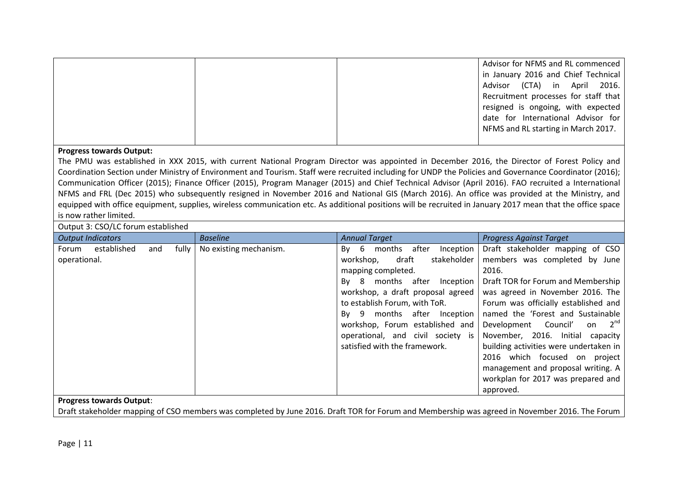|  | Advisor for NFMS and RL commenced    |
|--|--------------------------------------|
|  | in January 2016 and Chief Technical  |
|  | Advisor (CTA) in April 2016.         |
|  | Recruitment processes for staff that |
|  | resigned is ongoing, with expected   |
|  | date for International Advisor for   |
|  | NFMS and RL starting in March 2017.  |
|  |                                      |

#### **Progress towards Output:**

The PMU was established in XXX 2015, with current National Program Director was appointed in December 2016, the Director of Forest Policy and Coordination Section under Ministry of Environment and Tourism. Staff were recruited including for UNDP the Policies and Governance Coordinator (2016); Communication Officer (2015); Finance Officer (2015), Program Manager (2015) and Chief Technical Advisor (April 2016). FAO recruited a International NFMS and FRL (Dec 2015) who subsequently resigned in November 2016 and National GIS (March 2016). An office was provided at the Ministry, and equipped with office equipment, supplies, wireless communication etc. As additional positions will be recruited in January 2017 mean that the office space is now rather limited.

Output 3: CSO/LC forum established

|              | <b>Output Indicators</b> |     |       | <b>Baseline</b>        | <b>Annual Target</b>                     | <b>Progress Against Target</b>         |
|--------------|--------------------------|-----|-------|------------------------|------------------------------------------|----------------------------------------|
| Forum        | established              | and | fully | No existing mechanism. | after<br>-6<br>months<br>Inception<br>Bv | Draft stakeholder mapping of CSO       |
| operational. |                          |     |       |                        | stakeholder<br>draft<br>workshop,        | members was completed by June          |
|              |                          |     |       |                        | mapping completed.                       | 2016.                                  |
|              |                          |     |       |                        | months after Inception<br>-8<br>Bv       | Draft TOR for Forum and Membership     |
|              |                          |     |       |                        | workshop, a draft proposal agreed        | was agreed in November 2016. The       |
|              |                          |     |       |                        | to establish Forum, with ToR.            | Forum was officially established and   |
|              |                          |     |       |                        | 9 months after Inception<br>Bv           | named the 'Forest and Sustainable      |
|              |                          |     |       |                        | workshop, Forum established and          | on $2^{nd}$<br>Development Council'    |
|              |                          |     |       |                        | operational, and civil society is        | November, 2016. Initial capacity       |
|              |                          |     |       |                        | satisfied with the framework.            | building activities were undertaken in |
|              |                          |     |       |                        |                                          | 2016 which focused on<br>project       |
|              |                          |     |       |                        |                                          | management and proposal writing. A     |
|              |                          |     |       |                        |                                          | workplan for 2017 was prepared and     |
|              |                          |     |       |                        |                                          | approved.                              |

### **Progress towards Output**:

Draft stakeholder mapping of CSO members was completed by June 2016. Draft TOR for Forum and Membership was agreed in November 2016. The Forum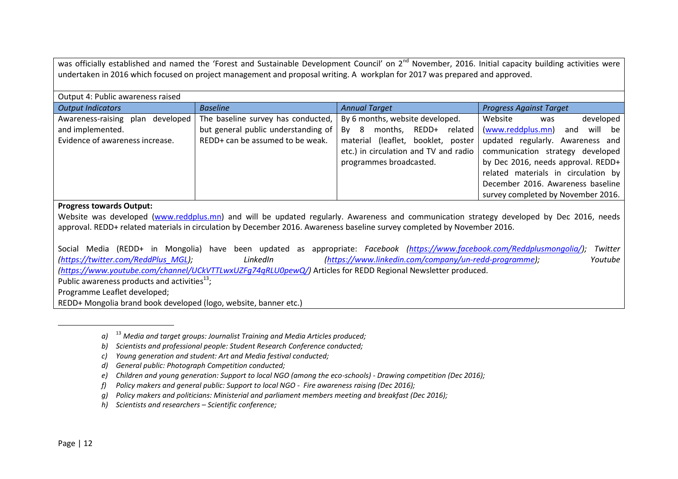was officially established and named the 'Forest and Sustainable Development Council' on 2<sup>nd</sup> November. 2016. Initial capacity building activities were undertaken in 2016 which focused on project management and proposal writing. A workplan for 2017 was prepared and approved.

| Output 4: Public awareness raised                                                                                                        |                                     |                                       |                                     |
|------------------------------------------------------------------------------------------------------------------------------------------|-------------------------------------|---------------------------------------|-------------------------------------|
| <b>Output Indicators</b>                                                                                                                 | <b>Baseline</b>                     | <b>Annual Target</b>                  | <b>Progress Against Target</b>      |
| Awareness-raising plan developed                                                                                                         | The baseline survey has conducted,  | By 6 months, website developed.       | developed<br>Website<br>was         |
| and implemented.                                                                                                                         | but general public understanding of | months,<br>REDD+ related<br>Bv<br>- 8 | (www.reddplus.mn)<br>will be<br>and |
| Evidence of awareness increase.                                                                                                          | REDD+ can be assumed to be weak.    | material (leaflet, booklet, poster    | updated regularly. Awareness and    |
|                                                                                                                                          |                                     | etc.) in circulation and TV and radio | communication strategy developed    |
|                                                                                                                                          |                                     | programmes broadcasted.               | by Dec 2016, needs approval. REDD+  |
|                                                                                                                                          |                                     |                                       | related materials in circulation by |
|                                                                                                                                          |                                     |                                       | December 2016. Awareness baseline   |
|                                                                                                                                          |                                     |                                       | survey completed by November 2016.  |
| <b>Progress towards Output:</b>                                                                                                          |                                     |                                       |                                     |
| Website was developed (www.reddplus.mn) and will be updated regularly. Awareness and communication strategy developed by Dec 2016, needs |                                     |                                       |                                     |
| approval. REDD+ related materials in circulation by December 2016. Awareness baseline survey completed by November 2016.                 |                                     |                                       |                                     |

Social Media (REDD+ in Mongolia) have been updated as appropriate: *Facebook [\(https://www.facebook.com/Reddplusmongolia/\)](https://www.facebook.com/Reddplusmongolia/); Twitter [\(https://twitter.com/ReddPlus\\_MGL\)](https://twitter.com/ReddPlus_MGL); LinkedIn [\(https://www.linkedin.com/company/un-redd-programme\)](https://www.linkedin.com/company/un-redd-programme); Youtube [\(https://www.youtube.com/channel/UCkVTTLwxUZFg74qRLU0pewQ/\)](https://www.youtube.com/channel/UCkVTTLwxUZFg74qRLU0pewQ/)* Articles for REDD Regional Newsletter produced. Public awareness products and activities<sup>13</sup>; Programme Leaflet developed; REDD+ Mongolia brand book developed (logo, website, banner etc.)

- *f) Policy makers and general public: Support to local NGO Fire awareness raising (Dec 2016);*
- *g) Policy makers and politicians: Ministerial and parliament members meeting and breakfast (Dec 2016);*
- *h) Scientists and researchers – Scientific conference;*

 $\overline{a}$ 

*a)* <sup>13</sup> *Media and target groups: Journalist Training and Media Articles produced;*

*b) Scientists and professional people: Student Research Conference conducted;*

*c) Young generation and student: Art and Media festival conducted;*

*d) General public: Photograph Competition conducted;*

*e) Children and young generation: Support to local NGO (among the eco-schools) - Drawing competition (Dec 2016);*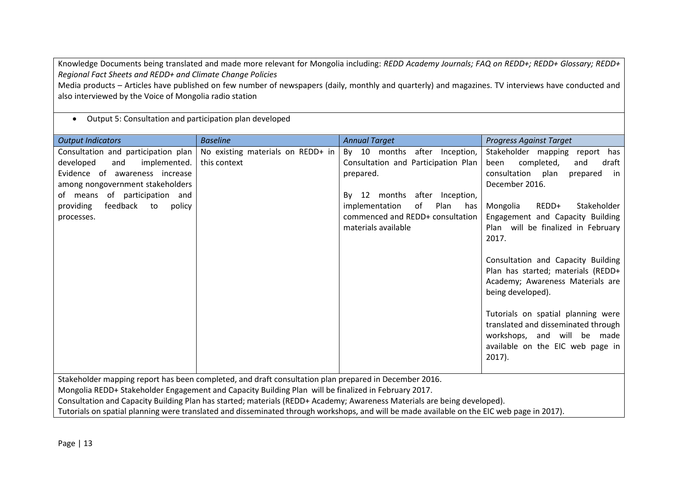Knowledge Documents being translated and made more relevant for Mongolia including: *REDD Academy Journals; FAQ on REDD+; REDD+ Glossary; REDD+ Regional Fact Sheets and REDD+ and Climate Change Policies*

Media products – Articles have published on few number of newspapers (daily, monthly and quarterly) and magazines. TV interviews have conducted and also interviewed by the Voice of Mongolia radio station

# Output 5: Consultation and participation plan developed

| <b>Output Indicators</b>                                                                                                                                                                                                                                                                                                                                                                                                                                                                | <b>Baseline</b>                                   | <b>Annual Target</b>                                                                                                                                                                                                          | <b>Progress Against Target</b>                                                                                                                                                                                                                                                                                                                                                                                                                                                                                                                               |  |
|-----------------------------------------------------------------------------------------------------------------------------------------------------------------------------------------------------------------------------------------------------------------------------------------------------------------------------------------------------------------------------------------------------------------------------------------------------------------------------------------|---------------------------------------------------|-------------------------------------------------------------------------------------------------------------------------------------------------------------------------------------------------------------------------------|--------------------------------------------------------------------------------------------------------------------------------------------------------------------------------------------------------------------------------------------------------------------------------------------------------------------------------------------------------------------------------------------------------------------------------------------------------------------------------------------------------------------------------------------------------------|--|
| Consultation and participation plan<br>developed<br>and<br>implemented.<br>Evidence of<br>awareness increase<br>among nongovernment stakeholders<br>of participation and<br>of means<br>providing<br>feedback<br>to<br>policy<br>processes.                                                                                                                                                                                                                                             | No existing materials on REDD+ in<br>this context | By 10 months after<br>Inception,<br>Consultation and Participation Plan<br>prepared.<br>12 months after<br>Inception,<br>Bv<br>οf<br>Plan<br>implementation<br>has<br>commenced and REDD+ consultation<br>materials available | Stakeholder mapping<br>report has<br>completed,<br>been<br>and<br>draft<br>consultation<br>plan<br>prepared<br>in<br>December 2016.<br>REDD+<br>Stakeholder<br>Mongolia<br>Engagement and Capacity Building<br>Plan will be finalized in February<br>2017.<br>Consultation and Capacity Building<br>Plan has started; materials (REDD+<br>Academy; Awareness Materials are<br>being developed).<br>Tutorials on spatial planning were<br>translated and disseminated through<br>workshops, and will be made<br>available on the EIC web page in<br>$2017$ ). |  |
|                                                                                                                                                                                                                                                                                                                                                                                                                                                                                         |                                                   |                                                                                                                                                                                                                               |                                                                                                                                                                                                                                                                                                                                                                                                                                                                                                                                                              |  |
| Stakeholder mapping report has been completed, and draft consultation plan prepared in December 2016.<br>Mongolia REDD+ Stakeholder Engagement and Capacity Building Plan will be finalized in February 2017.<br>Consultation and Capacity Building Plan has started; materials (REDD+ Academy; Awareness Materials are being developed).<br>Tutorials on spatial planning were translated and disseminated through workshops, and will be made available on the EIC web page in 2017). |                                                   |                                                                                                                                                                                                                               |                                                                                                                                                                                                                                                                                                                                                                                                                                                                                                                                                              |  |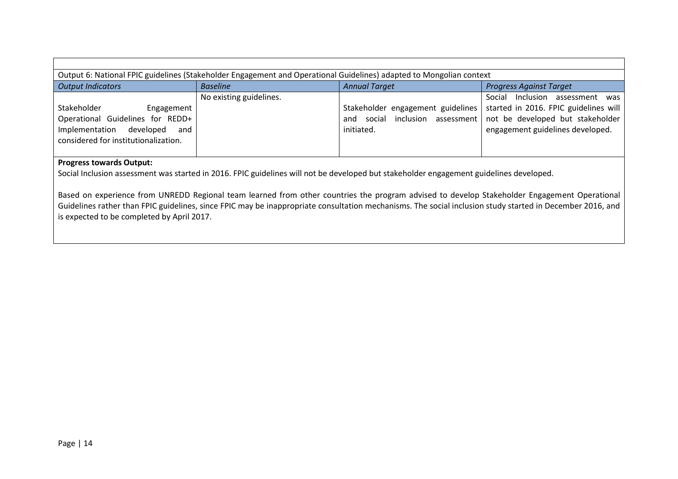|                                                                                                                                          |                         | Output 6: National FPIC guidelines (Stakeholder Engagement and Operational Guidelines) adapted to Mongolian context |                                                                                                                                                  |  |  |
|------------------------------------------------------------------------------------------------------------------------------------------|-------------------------|---------------------------------------------------------------------------------------------------------------------|--------------------------------------------------------------------------------------------------------------------------------------------------|--|--|
| <b>Output Indicators</b>                                                                                                                 | <b>Baseline</b>         | <b>Annual Target</b>                                                                                                | <b>Progress Against Target</b>                                                                                                                   |  |  |
| Stakeholder<br>Engagement<br>Operational Guidelines for REDD+<br>Implementation developed<br>and<br>considered for institutionalization. | No existing guidelines. | Stakeholder engagement guidelines<br>social inclusion assessment<br>and<br>initiated.                               | Social Inclusion assessment was<br>started in 2016. FPIC guidelines will<br>not be developed but stakeholder<br>engagement guidelines developed. |  |  |
| Drograce towards Output:                                                                                                                 |                         |                                                                                                                     |                                                                                                                                                  |  |  |

#### **Progress towards Output:**

Social Inclusion assessment was started in 2016. FPIC guidelines will not be developed but stakeholder engagement guidelines developed.

Based on experience from UNREDD Regional team learned from other countries the program advised to develop Stakeholder Engagement Operational Guidelines rather than FPIC guidelines, since FPIC may be inappropriate consultation mechanisms. The social inclusion study started in December 2016, and is expected to be completed by April 2017.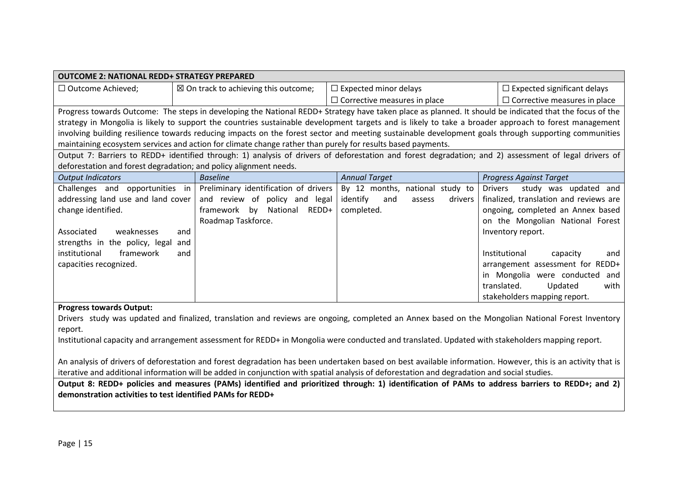| <b>OUTCOME 2: NATIONAL REDD+ STRATEGY PREPARED</b>                                                                                               |                                                                                                             |                                                                                                                                                         |                                         |  |
|--------------------------------------------------------------------------------------------------------------------------------------------------|-------------------------------------------------------------------------------------------------------------|---------------------------------------------------------------------------------------------------------------------------------------------------------|-----------------------------------------|--|
| $\Box$ Outcome Achieved;                                                                                                                         | $\boxtimes$ On track to achieving this outcome;                                                             | $\Box$ Expected minor delays                                                                                                                            | $\Box$ Expected significant delays      |  |
|                                                                                                                                                  |                                                                                                             | $\Box$ Corrective measures in place                                                                                                                     | $\Box$ Corrective measures in place     |  |
|                                                                                                                                                  |                                                                                                             | Progress towards Outcome: The steps in developing the National REDD+ Strategy have taken place as planned. It should be indicated that the focus of the |                                         |  |
|                                                                                                                                                  |                                                                                                             | strategy in Mongolia is likely to support the countries sustainable development targets and is likely to take a broader approach to forest management   |                                         |  |
|                                                                                                                                                  |                                                                                                             | involving building resilience towards reducing impacts on the forest sector and meeting sustainable development goals through supporting communities    |                                         |  |
|                                                                                                                                                  | maintaining ecosystem services and action for climate change rather than purely for results based payments. |                                                                                                                                                         |                                         |  |
|                                                                                                                                                  |                                                                                                             | Output 7: Barriers to REDD+ identified through: 1) analysis of drivers of deforestation and forest degradation; and 2) assessment of legal drivers of   |                                         |  |
|                                                                                                                                                  | deforestation and forest degradation; and policy alignment needs.                                           |                                                                                                                                                         |                                         |  |
| <b>Output Indicators</b>                                                                                                                         | <b>Baseline</b>                                                                                             | <b>Annual Target</b>                                                                                                                                    | <b>Progress Against Target</b>          |  |
| Challenges and opportunities in                                                                                                                  | Preliminary identification of drivers                                                                       | By 12 months, national study to                                                                                                                         | <b>Drivers</b><br>study was updated and |  |
| addressing land use and land cover                                                                                                               | and review of policy and legal                                                                              | identify<br>and<br>drivers<br>assess                                                                                                                    | finalized, translation and reviews are  |  |
| change identified.                                                                                                                               | framework by National<br>REDD+                                                                              | completed.                                                                                                                                              | ongoing, completed an Annex based       |  |
|                                                                                                                                                  | Roadmap Taskforce.                                                                                          |                                                                                                                                                         | on the Mongolian National Forest        |  |
| Associated<br>weaknesses                                                                                                                         | and                                                                                                         |                                                                                                                                                         | Inventory report.                       |  |
| strengths in the policy, legal                                                                                                                   | and                                                                                                         |                                                                                                                                                         |                                         |  |
| institutional<br>framework                                                                                                                       | and                                                                                                         |                                                                                                                                                         | Institutional<br>capacity<br>and        |  |
| capacities recognized.                                                                                                                           |                                                                                                             |                                                                                                                                                         | arrangement assessment for REDD+        |  |
|                                                                                                                                                  |                                                                                                             |                                                                                                                                                         | in Mongolia were conducted and          |  |
|                                                                                                                                                  |                                                                                                             |                                                                                                                                                         | translated.<br>Updated<br>with          |  |
|                                                                                                                                                  |                                                                                                             |                                                                                                                                                         | stakeholders mapping report.            |  |
| <b>Progress towards Output:</b>                                                                                                                  |                                                                                                             |                                                                                                                                                         |                                         |  |
|                                                                                                                                                  |                                                                                                             | Drivers study was updated and finalized, translation and reviews are ongoing, completed an Annex based on the Mongolian National Forest Inventory       |                                         |  |
| report.                                                                                                                                          |                                                                                                             |                                                                                                                                                         |                                         |  |
| Institutional capacity and arrangement assessment for REDD+ in Mongolia were conducted and translated. Updated with stakeholders mapping report. |                                                                                                             |                                                                                                                                                         |                                         |  |

An analysis of drivers of deforestation and forest degradation has been undertaken based on best available information. However, this is an activity that is iterative and additional information will be added in conjunction with spatial analysis of deforestation and degradation and social studies.

**Output 8: REDD+ policies and measures (PAMs) identified and prioritized through: 1) identification of PAMs to address barriers to REDD+; and 2) demonstration activities to test identified PAMs for REDD+**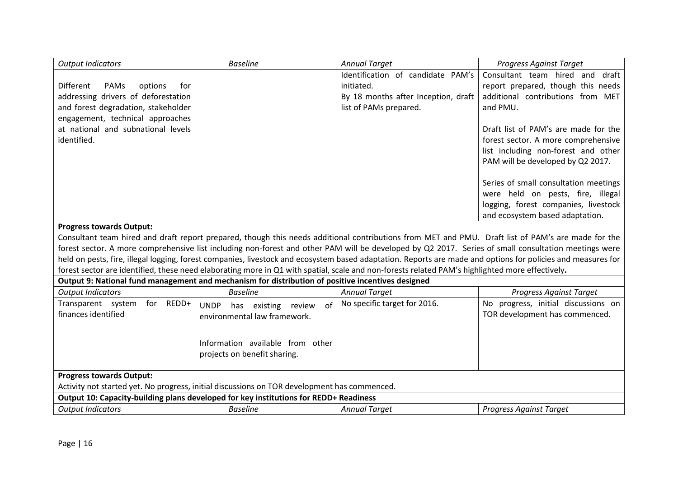| Identification of candidate PAM's<br>Consultant team hired and draft<br>report prepared, though this needs<br>Different<br>PAMs<br>initiated.<br>options<br>for<br>addressing drivers of deforestation<br>By 18 months after Inception, draft<br>additional contributions from MET<br>and forest degradation, stakeholder<br>list of PAMs prepared.<br>and PMU.<br>engagement, technical approaches<br>at national and subnational levels<br>Draft list of PAM's are made for the<br>identified.<br>forest sector. A more comprehensive<br>list including non-forest and other<br>PAM will be developed by Q2 2017.<br>Series of small consultation meetings<br>were held on pests, fire, illegal<br>logging, forest companies, livestock<br>and ecosystem based adaptation.<br><b>Progress towards Output:</b><br>Consultant team hired and draft report prepared, though this needs additional contributions from MET and PMU. Draft list of PAM's are made for the<br>forest sector. A more comprehensive list including non-forest and other PAM will be developed by Q2 2017. Series of small consultation meetings were<br>held on pests, fire, illegal logging, forest companies, livestock and ecosystem based adaptation. Reports are made and options for policies and measures for<br>forest sector are identified, these need elaborating more in Q1 with spatial, scale and non-forests related PAM's highlighted more effectively.<br>Output 9: National fund management and mechanism for distribution of positive incentives designed<br><b>Output Indicators</b><br><b>Baseline</b><br><b>Annual Target</b><br><b>Progress Against Target</b><br>No specific target for 2016.<br>No progress, initial discussions on<br>Transparent system for REDD+<br>of<br>UNDP has existing review<br>finances identified<br>TOR development has commenced.<br>environmental law framework.<br>Information available from other<br>projects on benefit sharing.<br><b>Progress towards Output:</b><br>Activity not started yet. No progress, initial discussions on TOR development has commenced.<br>Output 10: Capacity-building plans developed for key institutions for REDD+ Readiness | <b>Output Indicators</b> | <b>Baseline</b> | <b>Annual Target</b> | <b>Progress Against Target</b> |
|--------------------------------------------------------------------------------------------------------------------------------------------------------------------------------------------------------------------------------------------------------------------------------------------------------------------------------------------------------------------------------------------------------------------------------------------------------------------------------------------------------------------------------------------------------------------------------------------------------------------------------------------------------------------------------------------------------------------------------------------------------------------------------------------------------------------------------------------------------------------------------------------------------------------------------------------------------------------------------------------------------------------------------------------------------------------------------------------------------------------------------------------------------------------------------------------------------------------------------------------------------------------------------------------------------------------------------------------------------------------------------------------------------------------------------------------------------------------------------------------------------------------------------------------------------------------------------------------------------------------------------------------------------------------------------------------------------------------------------------------------------------------------------------------------------------------------------------------------------------------------------------------------------------------------------------------------------------------------------------------------------------------------------------------------------------------------------------------------------------------------------------------------------------------------------------------------|--------------------------|-----------------|----------------------|--------------------------------|
|                                                                                                                                                                                                                                                                                                                                                                                                                                                                                                                                                                                                                                                                                                                                                                                                                                                                                                                                                                                                                                                                                                                                                                                                                                                                                                                                                                                                                                                                                                                                                                                                                                                                                                                                                                                                                                                                                                                                                                                                                                                                                                                                                                                                  |                          |                 |                      |                                |
|                                                                                                                                                                                                                                                                                                                                                                                                                                                                                                                                                                                                                                                                                                                                                                                                                                                                                                                                                                                                                                                                                                                                                                                                                                                                                                                                                                                                                                                                                                                                                                                                                                                                                                                                                                                                                                                                                                                                                                                                                                                                                                                                                                                                  |                          |                 |                      |                                |
|                                                                                                                                                                                                                                                                                                                                                                                                                                                                                                                                                                                                                                                                                                                                                                                                                                                                                                                                                                                                                                                                                                                                                                                                                                                                                                                                                                                                                                                                                                                                                                                                                                                                                                                                                                                                                                                                                                                                                                                                                                                                                                                                                                                                  |                          |                 |                      |                                |
|                                                                                                                                                                                                                                                                                                                                                                                                                                                                                                                                                                                                                                                                                                                                                                                                                                                                                                                                                                                                                                                                                                                                                                                                                                                                                                                                                                                                                                                                                                                                                                                                                                                                                                                                                                                                                                                                                                                                                                                                                                                                                                                                                                                                  |                          |                 |                      |                                |
|                                                                                                                                                                                                                                                                                                                                                                                                                                                                                                                                                                                                                                                                                                                                                                                                                                                                                                                                                                                                                                                                                                                                                                                                                                                                                                                                                                                                                                                                                                                                                                                                                                                                                                                                                                                                                                                                                                                                                                                                                                                                                                                                                                                                  |                          |                 |                      |                                |
|                                                                                                                                                                                                                                                                                                                                                                                                                                                                                                                                                                                                                                                                                                                                                                                                                                                                                                                                                                                                                                                                                                                                                                                                                                                                                                                                                                                                                                                                                                                                                                                                                                                                                                                                                                                                                                                                                                                                                                                                                                                                                                                                                                                                  |                          |                 |                      |                                |
|                                                                                                                                                                                                                                                                                                                                                                                                                                                                                                                                                                                                                                                                                                                                                                                                                                                                                                                                                                                                                                                                                                                                                                                                                                                                                                                                                                                                                                                                                                                                                                                                                                                                                                                                                                                                                                                                                                                                                                                                                                                                                                                                                                                                  |                          |                 |                      |                                |
|                                                                                                                                                                                                                                                                                                                                                                                                                                                                                                                                                                                                                                                                                                                                                                                                                                                                                                                                                                                                                                                                                                                                                                                                                                                                                                                                                                                                                                                                                                                                                                                                                                                                                                                                                                                                                                                                                                                                                                                                                                                                                                                                                                                                  |                          |                 |                      |                                |
|                                                                                                                                                                                                                                                                                                                                                                                                                                                                                                                                                                                                                                                                                                                                                                                                                                                                                                                                                                                                                                                                                                                                                                                                                                                                                                                                                                                                                                                                                                                                                                                                                                                                                                                                                                                                                                                                                                                                                                                                                                                                                                                                                                                                  |                          |                 |                      |                                |
|                                                                                                                                                                                                                                                                                                                                                                                                                                                                                                                                                                                                                                                                                                                                                                                                                                                                                                                                                                                                                                                                                                                                                                                                                                                                                                                                                                                                                                                                                                                                                                                                                                                                                                                                                                                                                                                                                                                                                                                                                                                                                                                                                                                                  |                          |                 |                      |                                |
|                                                                                                                                                                                                                                                                                                                                                                                                                                                                                                                                                                                                                                                                                                                                                                                                                                                                                                                                                                                                                                                                                                                                                                                                                                                                                                                                                                                                                                                                                                                                                                                                                                                                                                                                                                                                                                                                                                                                                                                                                                                                                                                                                                                                  |                          |                 |                      |                                |
|                                                                                                                                                                                                                                                                                                                                                                                                                                                                                                                                                                                                                                                                                                                                                                                                                                                                                                                                                                                                                                                                                                                                                                                                                                                                                                                                                                                                                                                                                                                                                                                                                                                                                                                                                                                                                                                                                                                                                                                                                                                                                                                                                                                                  |                          |                 |                      |                                |
|                                                                                                                                                                                                                                                                                                                                                                                                                                                                                                                                                                                                                                                                                                                                                                                                                                                                                                                                                                                                                                                                                                                                                                                                                                                                                                                                                                                                                                                                                                                                                                                                                                                                                                                                                                                                                                                                                                                                                                                                                                                                                                                                                                                                  |                          |                 |                      |                                |
|                                                                                                                                                                                                                                                                                                                                                                                                                                                                                                                                                                                                                                                                                                                                                                                                                                                                                                                                                                                                                                                                                                                                                                                                                                                                                                                                                                                                                                                                                                                                                                                                                                                                                                                                                                                                                                                                                                                                                                                                                                                                                                                                                                                                  |                          |                 |                      |                                |
|                                                                                                                                                                                                                                                                                                                                                                                                                                                                                                                                                                                                                                                                                                                                                                                                                                                                                                                                                                                                                                                                                                                                                                                                                                                                                                                                                                                                                                                                                                                                                                                                                                                                                                                                                                                                                                                                                                                                                                                                                                                                                                                                                                                                  |                          |                 |                      |                                |
|                                                                                                                                                                                                                                                                                                                                                                                                                                                                                                                                                                                                                                                                                                                                                                                                                                                                                                                                                                                                                                                                                                                                                                                                                                                                                                                                                                                                                                                                                                                                                                                                                                                                                                                                                                                                                                                                                                                                                                                                                                                                                                                                                                                                  |                          |                 |                      |                                |
|                                                                                                                                                                                                                                                                                                                                                                                                                                                                                                                                                                                                                                                                                                                                                                                                                                                                                                                                                                                                                                                                                                                                                                                                                                                                                                                                                                                                                                                                                                                                                                                                                                                                                                                                                                                                                                                                                                                                                                                                                                                                                                                                                                                                  |                          |                 |                      |                                |
|                                                                                                                                                                                                                                                                                                                                                                                                                                                                                                                                                                                                                                                                                                                                                                                                                                                                                                                                                                                                                                                                                                                                                                                                                                                                                                                                                                                                                                                                                                                                                                                                                                                                                                                                                                                                                                                                                                                                                                                                                                                                                                                                                                                                  |                          |                 |                      |                                |
|                                                                                                                                                                                                                                                                                                                                                                                                                                                                                                                                                                                                                                                                                                                                                                                                                                                                                                                                                                                                                                                                                                                                                                                                                                                                                                                                                                                                                                                                                                                                                                                                                                                                                                                                                                                                                                                                                                                                                                                                                                                                                                                                                                                                  |                          |                 |                      |                                |
|                                                                                                                                                                                                                                                                                                                                                                                                                                                                                                                                                                                                                                                                                                                                                                                                                                                                                                                                                                                                                                                                                                                                                                                                                                                                                                                                                                                                                                                                                                                                                                                                                                                                                                                                                                                                                                                                                                                                                                                                                                                                                                                                                                                                  |                          |                 |                      |                                |
|                                                                                                                                                                                                                                                                                                                                                                                                                                                                                                                                                                                                                                                                                                                                                                                                                                                                                                                                                                                                                                                                                                                                                                                                                                                                                                                                                                                                                                                                                                                                                                                                                                                                                                                                                                                                                                                                                                                                                                                                                                                                                                                                                                                                  |                          |                 |                      |                                |
|                                                                                                                                                                                                                                                                                                                                                                                                                                                                                                                                                                                                                                                                                                                                                                                                                                                                                                                                                                                                                                                                                                                                                                                                                                                                                                                                                                                                                                                                                                                                                                                                                                                                                                                                                                                                                                                                                                                                                                                                                                                                                                                                                                                                  |                          |                 |                      |                                |
|                                                                                                                                                                                                                                                                                                                                                                                                                                                                                                                                                                                                                                                                                                                                                                                                                                                                                                                                                                                                                                                                                                                                                                                                                                                                                                                                                                                                                                                                                                                                                                                                                                                                                                                                                                                                                                                                                                                                                                                                                                                                                                                                                                                                  |                          |                 |                      |                                |
|                                                                                                                                                                                                                                                                                                                                                                                                                                                                                                                                                                                                                                                                                                                                                                                                                                                                                                                                                                                                                                                                                                                                                                                                                                                                                                                                                                                                                                                                                                                                                                                                                                                                                                                                                                                                                                                                                                                                                                                                                                                                                                                                                                                                  |                          |                 |                      |                                |
|                                                                                                                                                                                                                                                                                                                                                                                                                                                                                                                                                                                                                                                                                                                                                                                                                                                                                                                                                                                                                                                                                                                                                                                                                                                                                                                                                                                                                                                                                                                                                                                                                                                                                                                                                                                                                                                                                                                                                                                                                                                                                                                                                                                                  |                          |                 |                      |                                |
|                                                                                                                                                                                                                                                                                                                                                                                                                                                                                                                                                                                                                                                                                                                                                                                                                                                                                                                                                                                                                                                                                                                                                                                                                                                                                                                                                                                                                                                                                                                                                                                                                                                                                                                                                                                                                                                                                                                                                                                                                                                                                                                                                                                                  |                          |                 |                      |                                |
|                                                                                                                                                                                                                                                                                                                                                                                                                                                                                                                                                                                                                                                                                                                                                                                                                                                                                                                                                                                                                                                                                                                                                                                                                                                                                                                                                                                                                                                                                                                                                                                                                                                                                                                                                                                                                                                                                                                                                                                                                                                                                                                                                                                                  |                          |                 |                      |                                |
|                                                                                                                                                                                                                                                                                                                                                                                                                                                                                                                                                                                                                                                                                                                                                                                                                                                                                                                                                                                                                                                                                                                                                                                                                                                                                                                                                                                                                                                                                                                                                                                                                                                                                                                                                                                                                                                                                                                                                                                                                                                                                                                                                                                                  |                          |                 |                      |                                |
|                                                                                                                                                                                                                                                                                                                                                                                                                                                                                                                                                                                                                                                                                                                                                                                                                                                                                                                                                                                                                                                                                                                                                                                                                                                                                                                                                                                                                                                                                                                                                                                                                                                                                                                                                                                                                                                                                                                                                                                                                                                                                                                                                                                                  |                          |                 |                      |                                |
|                                                                                                                                                                                                                                                                                                                                                                                                                                                                                                                                                                                                                                                                                                                                                                                                                                                                                                                                                                                                                                                                                                                                                                                                                                                                                                                                                                                                                                                                                                                                                                                                                                                                                                                                                                                                                                                                                                                                                                                                                                                                                                                                                                                                  |                          |                 |                      |                                |
| <b>Baseline</b><br><b>Output Indicators</b><br><b>Annual Target</b><br><b>Progress Against Target</b>                                                                                                                                                                                                                                                                                                                                                                                                                                                                                                                                                                                                                                                                                                                                                                                                                                                                                                                                                                                                                                                                                                                                                                                                                                                                                                                                                                                                                                                                                                                                                                                                                                                                                                                                                                                                                                                                                                                                                                                                                                                                                            |                          |                 |                      |                                |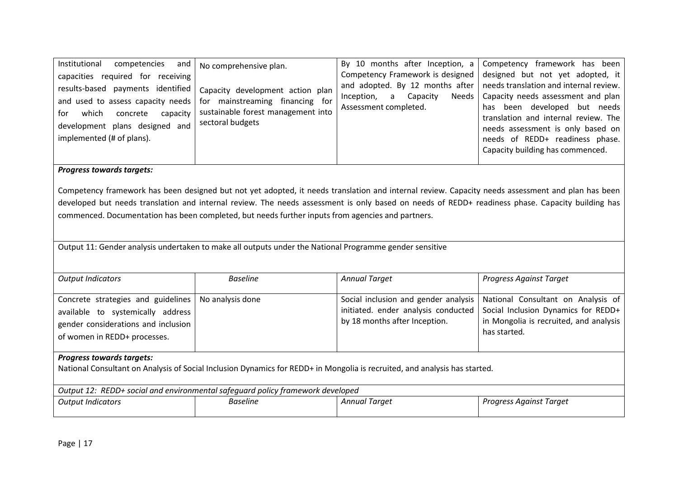| Institutional<br>competencies<br>and<br>required for<br>receiving<br>capacities<br>results-based payments identified<br>and used to assess capacity needs<br>capacity<br>which<br>concrete<br>tor<br>development plans designed and<br>implemented (# of plans). | No comprehensive plan.<br>Capacity development action plan<br>for mainstreaming<br>financing for<br>sustainable forest management into<br>sectoral budgets | Capacity<br>Inception,<br>a<br>Assessment completed. | By 10 months after Inception, a Competency framework has been<br>Competency Framework is designed designed but not yet adopted, it<br>and adopted. By 12 months after   needs translation and internal review.<br>Needs   Capacity needs assessment and plan<br>been developed but needs<br>has<br>translation and internal review. The<br>needs assessment is only based on<br>needs of REDD+ readiness phase.<br>Capacity building has commenced. |
|------------------------------------------------------------------------------------------------------------------------------------------------------------------------------------------------------------------------------------------------------------------|------------------------------------------------------------------------------------------------------------------------------------------------------------|------------------------------------------------------|-----------------------------------------------------------------------------------------------------------------------------------------------------------------------------------------------------------------------------------------------------------------------------------------------------------------------------------------------------------------------------------------------------------------------------------------------------|
|------------------------------------------------------------------------------------------------------------------------------------------------------------------------------------------------------------------------------------------------------------------|------------------------------------------------------------------------------------------------------------------------------------------------------------|------------------------------------------------------|-----------------------------------------------------------------------------------------------------------------------------------------------------------------------------------------------------------------------------------------------------------------------------------------------------------------------------------------------------------------------------------------------------------------------------------------------------|

## *Progress towards targets:*

Competency framework has been designed but not yet adopted, it needs translation and internal review. Capacity needs assessment and plan has been developed but needs translation and internal review. The needs assessment is only based on needs of REDD+ readiness phase. Capacity building has commenced. Documentation has been completed, but needs further inputs from agencies and partners.

Output 11: Gender analysis undertaken to make all outputs under the National Programme gender sensitive

| <b>Output Indicators</b>                                                                                                                                       | <b>Baseline</b>  | <b>Annual Target</b>                                                                                         | Progress Against Target                                                                                                             |  |  |
|----------------------------------------------------------------------------------------------------------------------------------------------------------------|------------------|--------------------------------------------------------------------------------------------------------------|-------------------------------------------------------------------------------------------------------------------------------------|--|--|
| Concrete strategies and guidelines<br>available to systemically address<br>gender considerations and inclusion<br>of women in REDD+ processes.                 | No analysis done | Social inclusion and gender analysis<br>initiated. ender analysis conducted<br>by 18 months after Inception. | National Consultant on Analysis of<br>Social Inclusion Dynamics for REDD+<br>in Mongolia is recruited, and analysis<br>has started. |  |  |
| <b>Progress towards targets:</b><br>National Consultant on Analysis of Social Inclusion Dynamics for REDD+ in Mongolia is recruited, and analysis has started. |                  |                                                                                                              |                                                                                                                                     |  |  |
| Output 12: REDD+ social and environmental safeguard policy framework developed                                                                                 |                  |                                                                                                              |                                                                                                                                     |  |  |
| <b>Output Indicators</b>                                                                                                                                       | <b>Baseline</b>  | <b>Annual Target</b>                                                                                         | Progress Against Target                                                                                                             |  |  |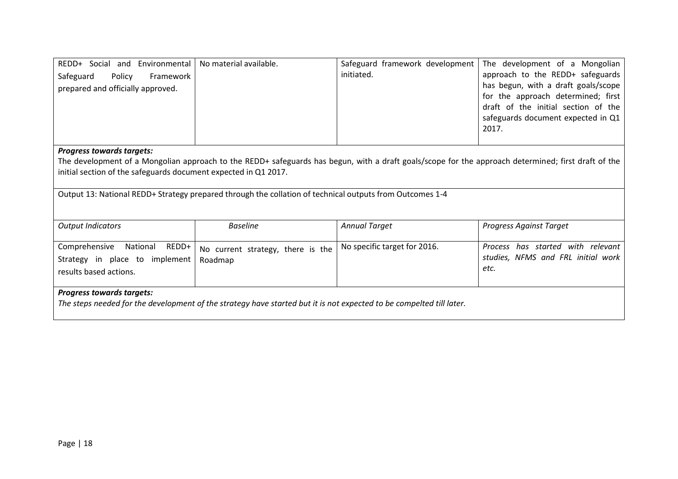| REDD+ Social and Environmental<br>Safeguard<br>Policy<br>Framework<br>prepared and officially approved. | No material available.                                                                                               | Safeguard framework development<br>initiated. | The development of a Mongolian<br>approach to the REDD+ safeguards<br>has begun, with a draft goals/scope<br>for the approach determined; first<br>draft of the initial section of the<br>safeguards document expected in Q1<br>2017. |
|---------------------------------------------------------------------------------------------------------|----------------------------------------------------------------------------------------------------------------------|-----------------------------------------------|---------------------------------------------------------------------------------------------------------------------------------------------------------------------------------------------------------------------------------------|
| <b>Progress towards targets:</b>                                                                        |                                                                                                                      |                                               |                                                                                                                                                                                                                                       |
|                                                                                                         |                                                                                                                      |                                               | The development of a Mongolian approach to the REDD+ safeguards has begun, with a draft goals/scope for the approach determined; first draft of the                                                                                   |
| initial section of the safeguards document expected in Q1 2017.                                         |                                                                                                                      |                                               |                                                                                                                                                                                                                                       |
|                                                                                                         | Output 13: National REDD+ Strategy prepared through the collation of technical outputs from Outcomes 1-4             |                                               |                                                                                                                                                                                                                                       |
| <b>Output Indicators</b>                                                                                | <b>Baseline</b>                                                                                                      | <b>Annual Target</b>                          | <b>Progress Against Target</b>                                                                                                                                                                                                        |
| Comprehensive<br>National<br>REDD+                                                                      | No current strategy, there is the                                                                                    | No specific target for 2016.                  | Process has started with relevant                                                                                                                                                                                                     |
| Strategy in place to implement                                                                          | Roadmap                                                                                                              |                                               | studies, NFMS and FRL initial work<br>etc.                                                                                                                                                                                            |
| results based actions.                                                                                  |                                                                                                                      |                                               |                                                                                                                                                                                                                                       |
| <b>Progress towards targets:</b>                                                                        |                                                                                                                      |                                               |                                                                                                                                                                                                                                       |
|                                                                                                         | The steps needed for the development of the strategy have started but it is not expected to be compelted till later. |                                               |                                                                                                                                                                                                                                       |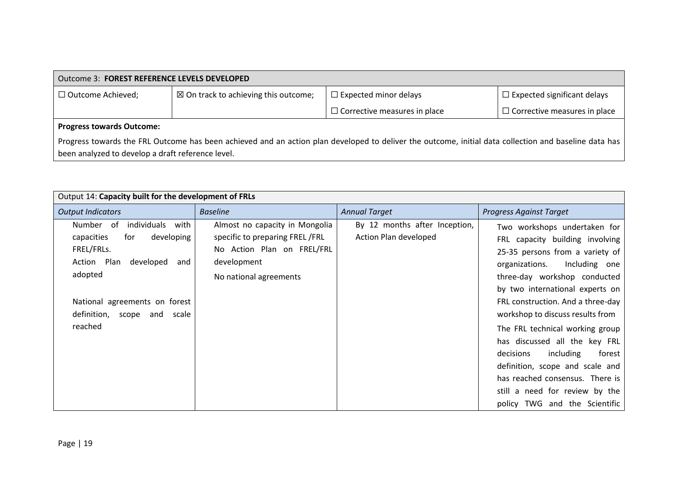| Outcome 3: FOREST REFERENCE LEVELS DEVELOPED |                                                                                                                                                       |                                     |                                     |  |
|----------------------------------------------|-------------------------------------------------------------------------------------------------------------------------------------------------------|-------------------------------------|-------------------------------------|--|
| $\Box$ Outcome Achieved;                     | $\boxtimes$ On track to achieving this outcome;                                                                                                       | $\Box$ Expected minor delays        | $\Box$ Expected significant delays  |  |
|                                              |                                                                                                                                                       | $\Box$ Corrective measures in place | $\Box$ Corrective measures in place |  |
| <b>Progress towards Outcome:</b>             |                                                                                                                                                       |                                     |                                     |  |
|                                              | Progress towards the FRL Outcome has been achieved and an action plan developed to deliver the outcome, initial data collection and baseline data has |                                     |                                     |  |

been analyzed to develop a draft reference level.

| Output 14: Capacity built for the development of FRLs                                                                                                                                              |                                                                                                                                         |                                                        |                                                                                                                                                                                                                                                                                   |  |
|----------------------------------------------------------------------------------------------------------------------------------------------------------------------------------------------------|-----------------------------------------------------------------------------------------------------------------------------------------|--------------------------------------------------------|-----------------------------------------------------------------------------------------------------------------------------------------------------------------------------------------------------------------------------------------------------------------------------------|--|
| <b>Output Indicators</b>                                                                                                                                                                           | <b>Baseline</b>                                                                                                                         | <b>Annual Target</b>                                   | <b>Progress Against Target</b>                                                                                                                                                                                                                                                    |  |
| Number of<br>individuals<br>with<br>developing<br>capacities<br>for<br>FREL/FRLs.<br>Action Plan<br>developed<br>and<br>adopted<br>National agreements on forest<br>definition, scope<br>and scale | Almost no capacity in Mongolia<br>specific to preparing FREL/FRL<br>No Action Plan on FREL/FRL<br>development<br>No national agreements | By 12 months after Inception,<br>Action Plan developed | Two workshops undertaken for<br>FRL capacity building involving<br>25-35 persons from a variety of<br>Including one<br>organizations.<br>three-day workshop conducted<br>by two international experts on<br>FRL construction. And a three-day<br>workshop to discuss results from |  |
| reached                                                                                                                                                                                            |                                                                                                                                         |                                                        | The FRL technical working group<br>has discussed all the key FRL<br>including<br>decisions<br>forest<br>definition, scope and scale and<br>has reached consensus. There is<br>still a need for review by the<br>policy TWG and the Scientific                                     |  |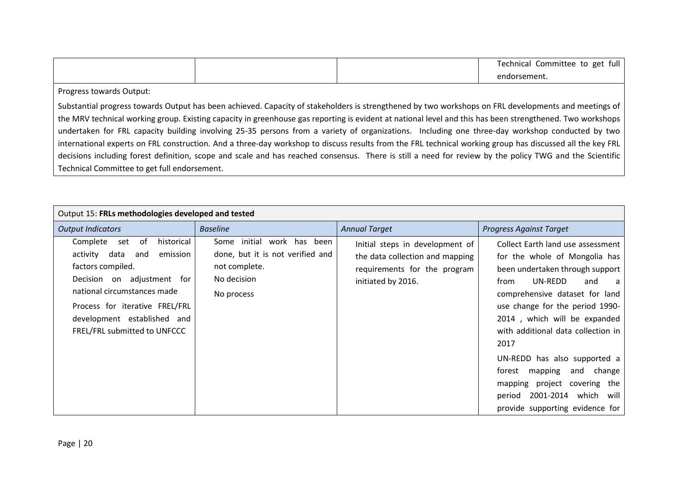|  | Fechnical<br>Committee to get<br>tull<br>$\cdot$ |
|--|--------------------------------------------------|
|  | endorsement.                                     |

Progress towards Output:

Substantial progress towards Output has been achieved. Capacity of stakeholders is strengthened by two workshops on FRL developments and meetings of the MRV technical working group. Existing capacity in greenhouse gas reporting is evident at national level and this has been strengthened. Two workshops undertaken for FRL capacity building involving 25-35 persons from a variety of organizations. Including one three-day workshop conducted by two international experts on FRL construction. And a three-day workshop to discuss results from the FRL technical working group has discussed all the key FRL decisions including forest definition, scope and scale and has reached consensus. There is still a need for review by the policy TWG and the Scientific Technical Committee to get full endorsement.

| Output 15: FRLs methodologies developed and tested                                                                                                                                                                                                            |                                                                                                                    |                                                                                                                          |                                                                                                                                                                                                                                                                                                                                                                                                                                                                          |  |  |
|---------------------------------------------------------------------------------------------------------------------------------------------------------------------------------------------------------------------------------------------------------------|--------------------------------------------------------------------------------------------------------------------|--------------------------------------------------------------------------------------------------------------------------|--------------------------------------------------------------------------------------------------------------------------------------------------------------------------------------------------------------------------------------------------------------------------------------------------------------------------------------------------------------------------------------------------------------------------------------------------------------------------|--|--|
| <b>Output Indicators</b>                                                                                                                                                                                                                                      | <b>Baseline</b>                                                                                                    | <b>Annual Target</b>                                                                                                     | <b>Progress Against Target</b>                                                                                                                                                                                                                                                                                                                                                                                                                                           |  |  |
| Complete<br>of<br>historical<br>set<br>activity<br>data<br>emission<br>and<br>factors compiled.<br>Decision on adjustment for<br>national circumstances made<br>Process for iterative FREL/FRL<br>development established and<br>FREL/FRL submitted to UNFCCC | initial<br>work has been<br>Some<br>done, but it is not verified and<br>not complete.<br>No decision<br>No process | Initial steps in development of<br>the data collection and mapping<br>requirements for the program<br>initiated by 2016. | Collect Earth land use assessment<br>for the whole of Mongolia has<br>been undertaken through support<br>UN-REDD<br>from<br>and<br>a<br>comprehensive dataset for land<br>use change for the period 1990-<br>2014, which will be expanded<br>with additional data collection in<br>2017<br>UN-REDD has also supported a<br>change<br>mapping<br>and<br>torest<br>mapping project covering the<br>2001-2014<br>which<br>will<br>period<br>provide supporting evidence for |  |  |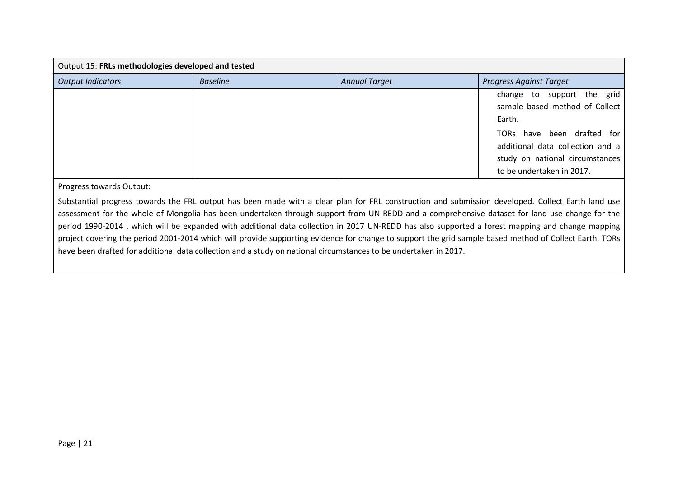| Output 15: FRLs methodologies developed and tested |                 |                      |                                                                                                                                |  |
|----------------------------------------------------|-----------------|----------------------|--------------------------------------------------------------------------------------------------------------------------------|--|
| <b>Output Indicators</b>                           | <b>Baseline</b> | <b>Annual Target</b> | <b>Progress Against Target</b>                                                                                                 |  |
|                                                    |                 |                      | change to support the grid<br>sample based method of Collect<br>Earth.                                                         |  |
|                                                    |                 |                      | TORs have been drafted for<br>additional data collection and a<br>study on national circumstances<br>to be undertaken in 2017. |  |

Progress towards Output:

Substantial progress towards the FRL output has been made with a clear plan for FRL construction and submission developed. Collect Earth land use assessment for the whole of Mongolia has been undertaken through support from UN-REDD and a comprehensive dataset for land use change for the period 1990-2014 , which will be expanded with additional data collection in 2017 UN-REDD has also supported a forest mapping and change mapping project covering the period 2001-2014 which will provide supporting evidence for change to support the grid sample based method of Collect Earth. TORs have been drafted for additional data collection and a study on national circumstances to be undertaken in 2017.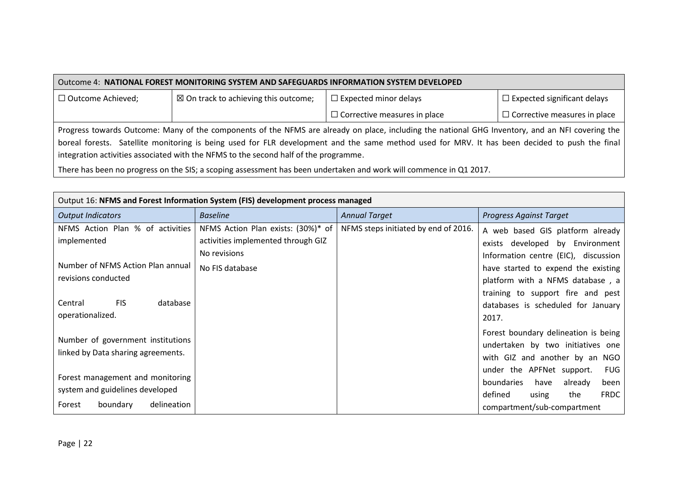| Outcome 4: NATIONAL FOREST MONITORING SYSTEM AND SAFEGUARDS INFORMATION SYSTEM DEVELOPED                                                       |                                                                                                                                                  |                                     |                                     |  |
|------------------------------------------------------------------------------------------------------------------------------------------------|--------------------------------------------------------------------------------------------------------------------------------------------------|-------------------------------------|-------------------------------------|--|
| □ Outcome Achieved;                                                                                                                            | $\boxtimes$ On track to achieving this outcome;                                                                                                  | $\Box$ Expected minor delays        | $\Box$ Expected significant delays  |  |
|                                                                                                                                                |                                                                                                                                                  | $\Box$ Corrective measures in place | $\Box$ Corrective measures in place |  |
|                                                                                                                                                | Progress towards Outcome: Many of the components of the NFMS are already on place, including the national GHG Inventory, and an NFI covering the |                                     |                                     |  |
| boreal forests. Satellite monitoring is being used for FLR development and the same method used for MRV. It has been decided to push the final |                                                                                                                                                  |                                     |                                     |  |
| integration activities associated with the NFMS to the second half of the programme.                                                           |                                                                                                                                                  |                                     |                                     |  |

There has been no progress on the SIS; a scoping assessment has been undertaken and work will commence in Q1 2017.

| Output 16: NFMS and Forest Information System (FIS) development process managed                          |                                                                                          |                                      |                                                                                                                                                           |  |
|----------------------------------------------------------------------------------------------------------|------------------------------------------------------------------------------------------|--------------------------------------|-----------------------------------------------------------------------------------------------------------------------------------------------------------|--|
| <b>Output Indicators</b>                                                                                 | <b>Baseline</b>                                                                          | <b>Annual Target</b>                 | <b>Progress Against Target</b>                                                                                                                            |  |
| NFMS Action Plan % of activities<br>implemented                                                          | NFMS Action Plan exists: (30%)* of<br>activities implemented through GIZ<br>No revisions | NFMS steps initiated by end of 2016. | A web based GIS platform already<br>exists developed by Environment<br>Information centre (EIC), discussion                                               |  |
| Number of NFMS Action Plan annual<br>revisions conducted                                                 | No FIS database                                                                          |                                      | have started to expend the existing<br>platform with a NFMS database, a<br>training to support fire and pest                                              |  |
| <b>FIS</b><br>database<br>Central<br>operationalized.                                                    |                                                                                          |                                      | databases is scheduled for January<br>2017.                                                                                                               |  |
| Number of government institutions<br>linked by Data sharing agreements.                                  |                                                                                          |                                      | Forest boundary delineation is being<br>undertaken by two initiatives one<br>with GIZ and another by an<br>NGO<br>under the APFNet support.<br><b>FUG</b> |  |
| Forest management and monitoring<br>system and guidelines developed<br>delineation<br>boundary<br>Forest |                                                                                          |                                      | boundaries<br>have<br>already<br>been<br>defined<br>the<br><b>FRDC</b><br>using<br>compartment/sub-compartment                                            |  |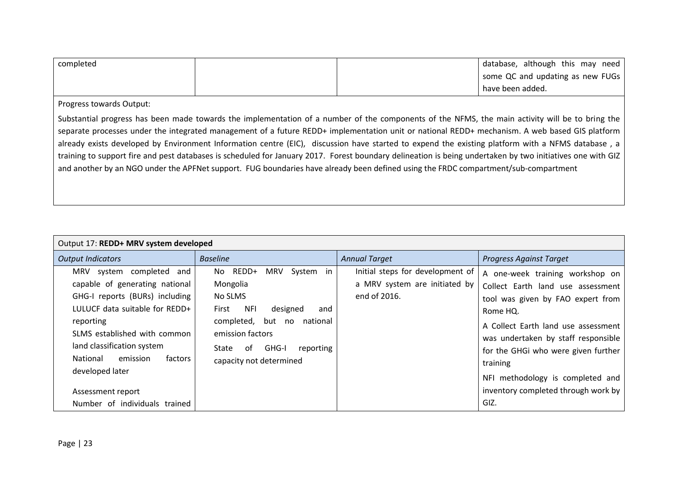| completed |  | database, although this may need |
|-----------|--|----------------------------------|
|           |  | some QC and updating as new FUGs |
|           |  | have been added.                 |

Progress towards Output:

Substantial progress has been made towards the implementation of a number of the components of the NFMS, the main activity will be to bring the separate processes under the integrated management of a future REDD+ implementation unit or national REDD+ mechanism. A web based GIS platform already exists developed by Environment Information centre (EIC), discussion have started to expend the existing platform with a NFMS database , a training to support fire and pest databases is scheduled for January 2017. Forest boundary delineation is being undertaken by two initiatives one with GIZ and another by an NGO under the APFNet support. FUG boundaries have already been defined using the FRDC compartment/sub-compartment

| Output 17: REDD+ MRV system developed                                                                                                                                                                                                                                                                                        |                                                                                                                                                                                                                                  |                                                                                   |                                                                                                                                                                                                                                                                                                                                           |  |  |
|------------------------------------------------------------------------------------------------------------------------------------------------------------------------------------------------------------------------------------------------------------------------------------------------------------------------------|----------------------------------------------------------------------------------------------------------------------------------------------------------------------------------------------------------------------------------|-----------------------------------------------------------------------------------|-------------------------------------------------------------------------------------------------------------------------------------------------------------------------------------------------------------------------------------------------------------------------------------------------------------------------------------------|--|--|
| <b>Output Indicators</b>                                                                                                                                                                                                                                                                                                     | <b>Baseline</b>                                                                                                                                                                                                                  | <b>Annual Target</b>                                                              | <b>Progress Against Target</b>                                                                                                                                                                                                                                                                                                            |  |  |
| MRV system completed and<br>capable of generating national<br>GHG-I reports (BURs) including<br>LULUCF data suitable for REDD+<br>reporting<br>SLMS established with common<br>land classification system<br><b>National</b><br>emission<br>factors<br>developed later<br>Assessment report<br>Number of individuals trained | REDD+<br><b>MRV</b><br>System in<br>No.<br>Mongolia<br>No SLMS<br><b>NFI</b><br>designed<br>First<br>and<br>completed, but<br>national<br>no<br>emission factors<br>GHG-I<br>reporting<br>State<br>of<br>capacity not determined | Initial steps for development of<br>a MRV system are initiated by<br>end of 2016. | A one-week training workshop on<br>Collect Earth land use assessment<br>tool was given by FAO expert from<br>Rome HQ.<br>A Collect Earth land use assessment<br>was undertaken by staff responsible<br>for the GHGi who were given further<br>training<br>NFI methodology is completed and<br>inventory completed through work by<br>GIZ. |  |  |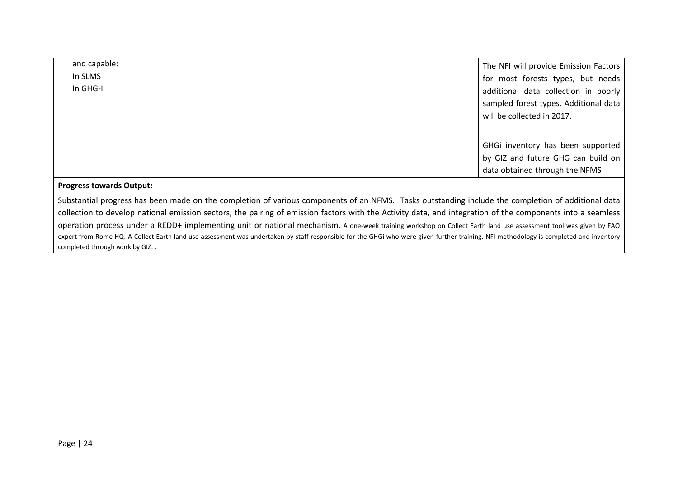| and capable: |  | The NFI will provide Emission Factors |
|--------------|--|---------------------------------------|
| In SLMS      |  | for most forests types, but needs     |
| In GHG-I     |  | additional data collection in poorly  |
|              |  | sampled forest types. Additional data |
|              |  | will be collected in 2017.            |
|              |  |                                       |
|              |  | GHGi inventory has been supported     |
|              |  | by GIZ and future GHG can build on    |
|              |  | data obtained through the NFMS        |

#### **Progress towards Output:**

Substantial progress has been made on the completion of various components of an NFMS. Tasks outstanding include the completion of additional data collection to develop national emission sectors, the pairing of emission factors with the Activity data, and integration of the components into a seamless operation process under a REDD+ implementing unit or national mechanism. A one-week training workshop on Collect Earth land use assessment tool was given by FAO expert from Rome HQ. A Collect Earth land use assessment was undertaken by staff responsible for the GHGi who were given further training. NFI methodology is completed and inventory completed through work by GIZ. .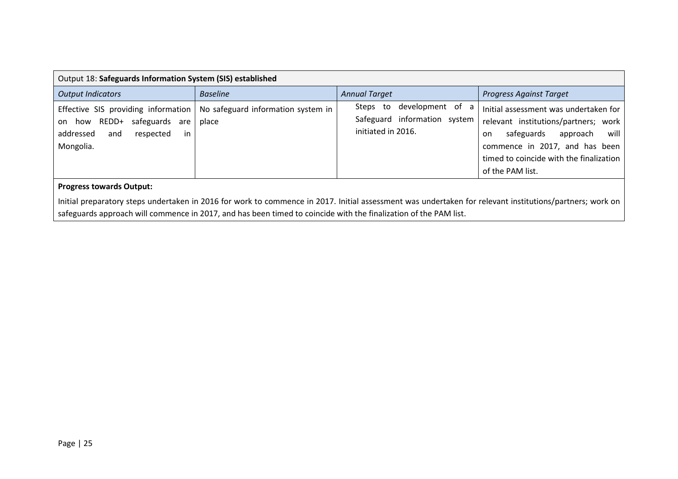| Output 18: Safeguards Information System (SIS) established                                                                      |                                             |                                                                                    |                                                                                                                                                                                                                        |  |  |
|---------------------------------------------------------------------------------------------------------------------------------|---------------------------------------------|------------------------------------------------------------------------------------|------------------------------------------------------------------------------------------------------------------------------------------------------------------------------------------------------------------------|--|--|
| <b>Output Indicators</b>                                                                                                        | <b>Baseline</b>                             | <b>Annual Target</b>                                                               | <b>Progress Against Target</b>                                                                                                                                                                                         |  |  |
| Effective SIS providing information<br>REDD+<br>safeguards are<br>how<br>on<br>in<br>addressed<br>respected<br>and<br>Mongolia. | No safeguard information system in<br>place | development of a<br>Steps to<br>Safeguard information system<br>initiated in 2016. | Initial assessment was undertaken for<br>relevant institutions/partners; work<br>will<br>safeguards<br>approach<br>on<br>commence in 2017, and has been<br>timed to coincide with the finalization<br>of the PAM list. |  |  |
| <b>Progress towards Output:</b>                                                                                                 |                                             |                                                                                    |                                                                                                                                                                                                                        |  |  |

Initial preparatory steps undertaken in 2016 for work to commence in 2017. Initial assessment was undertaken for relevant institutions/partners; work on safeguards approach will commence in 2017, and has been timed to coincide with the finalization of the PAM list.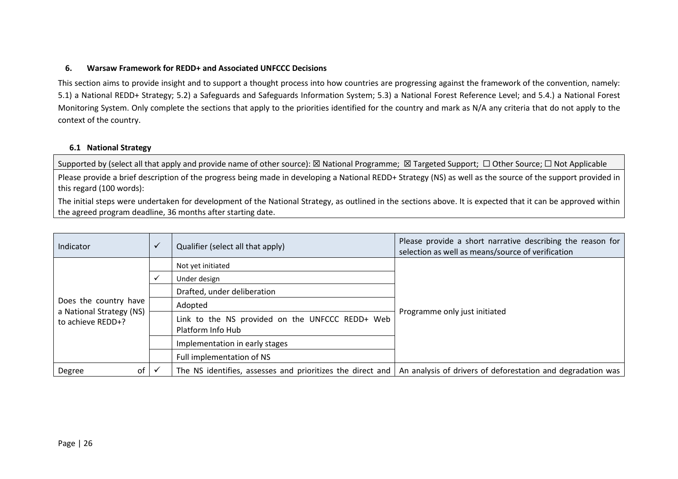### **6. Warsaw Framework for REDD+ and Associated UNFCCC Decisions**

This section aims to provide insight and to support a thought process into how countries are progressing against the framework of the convention, namely: 5.1) a National REDD+ Strategy; 5.2) a Safeguards and Safeguards Information System; 5.3) a National Forest Reference Level; and 5.4.) a National Forest Monitoring System. Only complete the sections that apply to the priorities identified for the country and mark as N/A any criteria that do not apply to the context of the country.

#### **6.1 National Strategy**

Supported by (select all that apply and provide name of other source): ⊠ National Programme; ⊠ Targeted Support; □ Other Source; □ Not Applicable

Please provide a brief description of the progress being made in developing a National REDD+ Strategy (NS) as well as the source of the support provided in this regard (100 words):

The initial steps were undertaken for development of the National Strategy, as outlined in the sections above. It is expected that it can be approved within the agreed program deadline, 36 months after starting date.

<span id="page-25-0"></span>

| Indicator                                                              | $\checkmark$ | Qualifier (select all that apply)                                    | Please provide a short narrative describing the reason for<br>selection as well as means/source of verification |
|------------------------------------------------------------------------|--------------|----------------------------------------------------------------------|-----------------------------------------------------------------------------------------------------------------|
|                                                                        |              | Not yet initiated                                                    |                                                                                                                 |
|                                                                        |              | Under design                                                         |                                                                                                                 |
| Does the country have<br>a National Strategy (NS)<br>to achieve REDD+? |              | Drafted, under deliberation                                          |                                                                                                                 |
|                                                                        |              | Adopted                                                              |                                                                                                                 |
|                                                                        |              | Link to the NS provided on the UNFCCC REDD+ Web<br>Platform Info Hub | Programme only just initiated                                                                                   |
|                                                                        |              | Implementation in early stages                                       |                                                                                                                 |
|                                                                        |              | Full implementation of NS                                            |                                                                                                                 |
| of<br>Degree                                                           |              | The NS identifies, assesses and prioritizes the direct and           | An analysis of drivers of deforestation and degradation was                                                     |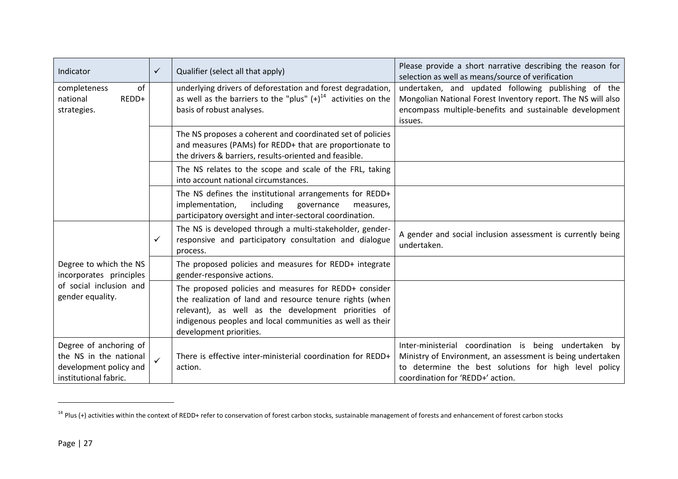| Indicator                                                                                           | ✓            | Qualifier (select all that apply)                                                                                                                                                                                                                                | Please provide a short narrative describing the reason for<br>selection as well as means/source of verification                                                                                                  |
|-----------------------------------------------------------------------------------------------------|--------------|------------------------------------------------------------------------------------------------------------------------------------------------------------------------------------------------------------------------------------------------------------------|------------------------------------------------------------------------------------------------------------------------------------------------------------------------------------------------------------------|
| of<br>completeness<br>REDD+<br>national<br>strategies.                                              |              | underlying drivers of deforestation and forest degradation,<br>as well as the barriers to the "plus" $(+)^{14}$ activities on the<br>basis of robust analyses.                                                                                                   | undertaken, and updated following publishing of the<br>Mongolian National Forest Inventory report. The NS will also<br>encompass multiple-benefits and sustainable development<br>issues.                        |
|                                                                                                     |              | The NS proposes a coherent and coordinated set of policies<br>and measures (PAMs) for REDD+ that are proportionate to<br>the drivers & barriers, results-oriented and feasible.                                                                                  |                                                                                                                                                                                                                  |
|                                                                                                     |              | The NS relates to the scope and scale of the FRL, taking<br>into account national circumstances.                                                                                                                                                                 |                                                                                                                                                                                                                  |
|                                                                                                     |              | The NS defines the institutional arrangements for REDD+<br>including<br>implementation,<br>governance<br>measures,<br>participatory oversight and inter-sectoral coordination.                                                                                   |                                                                                                                                                                                                                  |
|                                                                                                     | $\checkmark$ | The NS is developed through a multi-stakeholder, gender-<br>responsive and participatory consultation and dialogue<br>process.                                                                                                                                   | A gender and social inclusion assessment is currently being<br>undertaken.                                                                                                                                       |
| Degree to which the NS<br>incorporates principles                                                   |              | The proposed policies and measures for REDD+ integrate<br>gender-responsive actions.                                                                                                                                                                             |                                                                                                                                                                                                                  |
| of social inclusion and<br>gender equality.                                                         |              | The proposed policies and measures for REDD+ consider<br>the realization of land and resource tenure rights (when<br>relevant), as well as the development priorities of<br>indigenous peoples and local communities as well as their<br>development priorities. |                                                                                                                                                                                                                  |
| Degree of anchoring of<br>the NS in the national<br>development policy and<br>institutional fabric. | $\checkmark$ | There is effective inter-ministerial coordination for REDD+<br>action.                                                                                                                                                                                           | Inter-ministerial coordination is being undertaken by<br>Ministry of Environment, an assessment is being undertaken<br>to determine the best solutions for high level policy<br>coordination for 'REDD+' action. |

 $14$  Plus (+) activities within the context of REDD+ refer to conservation of forest carbon stocks, sustainable management of forests and enhancement of forest carbon stocks

 $\overline{a}$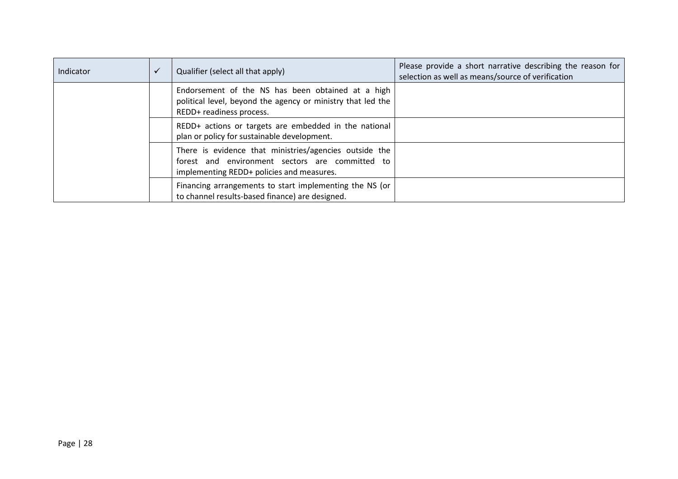| Indicator | $\checkmark$ | Qualifier (select all that apply)                                                                                                                      | Please provide a short narrative describing the reason for<br>selection as well as means/source of verification |
|-----------|--------------|--------------------------------------------------------------------------------------------------------------------------------------------------------|-----------------------------------------------------------------------------------------------------------------|
|           |              | Endorsement of the NS has been obtained at a high<br>political level, beyond the agency or ministry that led the<br>REDD+ readiness process.           |                                                                                                                 |
|           |              | REDD+ actions or targets are embedded in the national<br>plan or policy for sustainable development.                                                   |                                                                                                                 |
|           |              | There is evidence that ministries/agencies outside the<br>forest and environment sectors are committed to<br>implementing REDD+ policies and measures. |                                                                                                                 |
|           |              | Financing arrangements to start implementing the NS (or<br>to channel results-based finance) are designed.                                             |                                                                                                                 |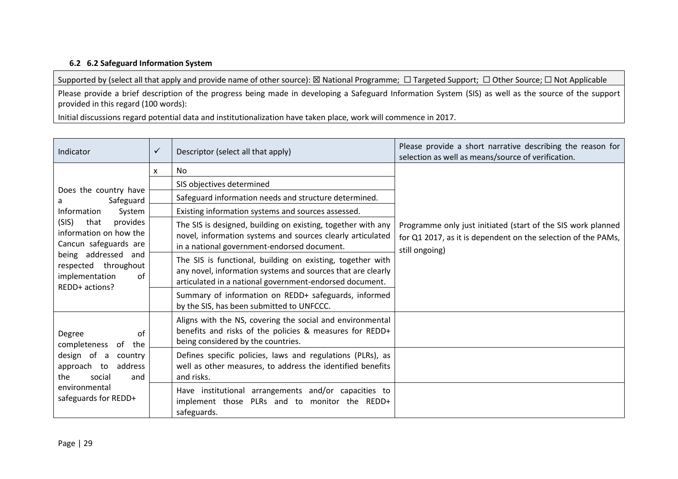## **6.2 6.2 Safeguard Information System**

Supported by (select all that apply and provide name of other source): ⊠ National Programme; □ Targeted Support; □ Other Source; □ Not Applicable

Please provide a brief description of the progress being made in developing a Safeguard Information System (SIS) as well as the source of the support provided in this regard (100 words):

Initial discussions regard potential data and institutionalization have taken place, work will commence in 2017.

| Indicator                                                                                                                                                             | $\checkmark$ | Descriptor (select all that apply)                                                                                                                                                   | Please provide a short narrative describing the reason for<br>selection as well as means/source of verification.                                |
|-----------------------------------------------------------------------------------------------------------------------------------------------------------------------|--------------|--------------------------------------------------------------------------------------------------------------------------------------------------------------------------------------|-------------------------------------------------------------------------------------------------------------------------------------------------|
|                                                                                                                                                                       | X            | No.                                                                                                                                                                                  |                                                                                                                                                 |
|                                                                                                                                                                       |              | SIS objectives determined                                                                                                                                                            |                                                                                                                                                 |
| Does the country have<br>Safeguard<br>a                                                                                                                               |              | Safeguard information needs and structure determined.                                                                                                                                |                                                                                                                                                 |
| System<br>Information                                                                                                                                                 |              | Existing information systems and sources assessed.                                                                                                                                   |                                                                                                                                                 |
| (SIS)<br>that<br>provides<br>information on how the<br>Cancun safeguards are<br>being addressed and<br>respected throughout<br>implementation<br>0f<br>REDD+ actions? |              | The SIS is designed, building on existing, together with any<br>novel, information systems and sources clearly articulated<br>in a national government-endorsed document.            | Programme only just initiated (start of the SIS work planned<br>for Q1 2017, as it is dependent on the selection of the PAMs,<br>still ongoing) |
|                                                                                                                                                                       |              | The SIS is functional, building on existing, together with<br>any novel, information systems and sources that are clearly<br>articulated in a national government-endorsed document. |                                                                                                                                                 |
|                                                                                                                                                                       |              | Summary of information on REDD+ safeguards, informed<br>by the SIS, has been submitted to UNFCCC.                                                                                    |                                                                                                                                                 |
| Degree<br>of<br>completeness<br>the<br>of                                                                                                                             |              | Aligns with the NS, covering the social and environmental<br>benefits and risks of the policies & measures for REDD+<br>being considered by the countries.                           |                                                                                                                                                 |
| design of a<br>country<br>approach to<br>address<br>the<br>social<br>and<br>environmental<br>safeguards for REDD+                                                     |              | Defines specific policies, laws and regulations (PLRs), as<br>well as other measures, to address the identified benefits<br>and risks.                                               |                                                                                                                                                 |
|                                                                                                                                                                       |              | Have institutional arrangements and/or capacities to<br>implement those PLRs and to monitor the REDD+<br>safeguards.                                                                 |                                                                                                                                                 |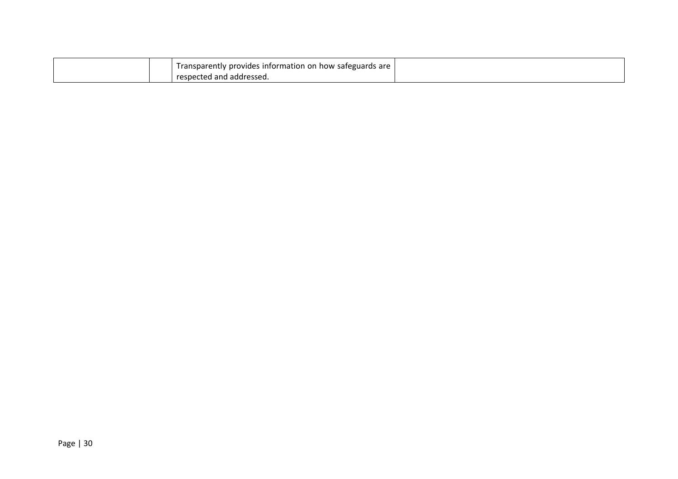|  | Transparently provides information on how safeguards are |  |
|--|----------------------------------------------------------|--|
|  | respected and addressed.                                 |  |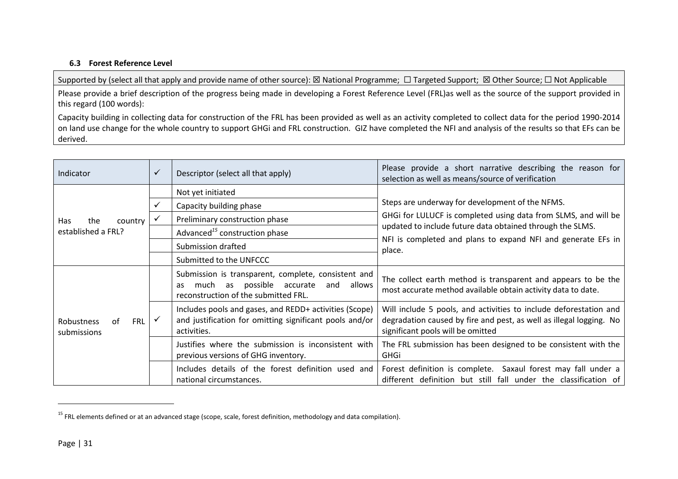### **6.3 Forest Reference Level**

Supported by (select all that apply and provide name of other source): ⊠ National Programme; □ Targeted Support; ⊠ Other Source; □ Not Applicable

Please provide a brief description of the progress being made in developing a Forest Reference Level (FRL)as well as the source of the support provided in this regard (100 words):

Capacity building in collecting data for construction of the FRL has been provided as well as an activity completed to collect data for the period 1990-2014 on land use change for the whole country to support GHGi and FRL construction. GIZ have completed the NFI and analysis of the results so that EFs can be derived.

| Indicator                                            | $\checkmark$ | Descriptor (select all that apply)                                                                                                                    | Please provide a short narrative describing the reason for<br>selection as well as means/source of verification                                                               |
|------------------------------------------------------|--------------|-------------------------------------------------------------------------------------------------------------------------------------------------------|-------------------------------------------------------------------------------------------------------------------------------------------------------------------------------|
|                                                      |              | Not yet initiated                                                                                                                                     |                                                                                                                                                                               |
|                                                      |              | Capacity building phase                                                                                                                               | Steps are underway for development of the NFMS.                                                                                                                               |
| country<br><b>Has</b><br>the                         | $\checkmark$ | Preliminary construction phase                                                                                                                        | GHGI for LULUCF is completed using data from SLMS, and will be                                                                                                                |
| established a FRL?                                   |              | Advanced <sup>15</sup> construction phase                                                                                                             | updated to include future data obtained through the SLMS.                                                                                                                     |
|                                                      |              | Submission drafted                                                                                                                                    | NFI is completed and plans to expand NFI and generate EFs in<br>place.                                                                                                        |
|                                                      |              | Submitted to the UNFCCC                                                                                                                               |                                                                                                                                                                               |
| <b>FRL</b><br><b>Robustness</b><br>Ωf<br>submissions |              | Submission is transparent, complete, consistent and<br>possible accurate<br>allows<br>much<br>and<br>as<br>as<br>reconstruction of the submitted FRL. | The collect earth method is transparent and appears to be the<br>most accurate method available obtain activity data to date.                                                 |
|                                                      |              | Includes pools and gases, and REDD+ activities (Scope)<br>and justification for omitting significant pools and/or<br>activities.                      | Will include 5 pools, and activities to include deforestation and<br>degradation caused by fire and pest, as well as illegal logging. No<br>significant pools will be omitted |
|                                                      |              | Justifies where the submission is inconsistent with<br>previous versions of GHG inventory.                                                            | The FRL submission has been designed to be consistent with the<br><b>GHGi</b>                                                                                                 |
|                                                      |              | Includes details of the forest definition used and<br>national circumstances.                                                                         | Forest definition is complete. Saxaul forest may fall under a<br>different definition but still fall under the classification of                                              |

 $15$  FRL elements defined or at an advanced stage (scope, scale, forest definition, methodology and data compilation).

 $\overline{\phantom{a}}$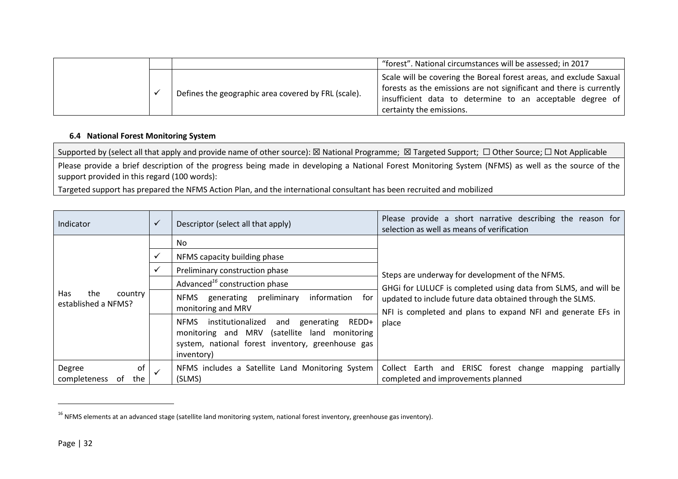|  |                                                     | "forest". National circumstances will be assessed; in 2017                                                                                                                                                                         |
|--|-----------------------------------------------------|------------------------------------------------------------------------------------------------------------------------------------------------------------------------------------------------------------------------------------|
|  | Defines the geographic area covered by FRL (scale). | Scale will be covering the Boreal forest areas, and exclude Saxual<br>forests as the emissions are not significant and there is currently<br>insufficient data to determine to an acceptable degree of<br>certainty the emissions. |

### **6.4 National Forest Monitoring System**

Supported by (select all that apply and provide name of other source): ⊠ National Programme; ⊠ Targeted Support; □ Other Source; □ Not Applicable

Please provide a brief description of the progress being made in developing a National Forest Monitoring System (NFMS) as well as the source of the support provided in this regard (100 words):

Targeted support has prepared the NFMS Action Plan, and the international consultant has been recruited and mobilized

| Indicator                                    | $\checkmark$ | Descriptor (select all that apply)                                                                                                                                                   | Please provide a short narrative describing the reason for<br>selection as well as means of verification                  |  |
|----------------------------------------------|--------------|--------------------------------------------------------------------------------------------------------------------------------------------------------------------------------------|---------------------------------------------------------------------------------------------------------------------------|--|
|                                              |              | No.                                                                                                                                                                                  |                                                                                                                           |  |
|                                              | ✓            | NFMS capacity building phase                                                                                                                                                         |                                                                                                                           |  |
|                                              | $\checkmark$ | Preliminary construction phase                                                                                                                                                       | Steps are underway for development of the NFMS.                                                                           |  |
|                                              |              | Advanced <sup>16</sup> construction phase                                                                                                                                            | GHGi for LULUCF is completed using data from SLMS, and will be                                                            |  |
| Has<br>the<br>country<br>established a NFMS? |              | information<br>generating preliminary<br><b>NFMS</b><br>for<br>monitoring and MRV                                                                                                    | updated to include future data obtained through the SLMS.<br>NFI is completed and plans to expand NFI and generate EFs in |  |
|                                              |              | REDD+<br>institutionalized<br>NFMS<br>and<br>generating<br>monitoring and MRV<br>(satellite<br>monitoring<br>land<br>system, national forest inventory, greenhouse gas<br>inventory) | place                                                                                                                     |  |
| of<br>Degree<br>completeness<br>the<br>. of  | $\checkmark$ | NFMS includes a Satellite Land Monitoring System<br>(SLMS)                                                                                                                           | Collect Earth<br>and ERISC forest change mapping<br>partially<br>completed and improvements planned                       |  |

<sup>&</sup>lt;sup>16</sup> NFMS elements at an advanced stage (satellite land monitoring system, national forest inventory, greenhouse gas inventory).

 $\overline{\phantom{a}}$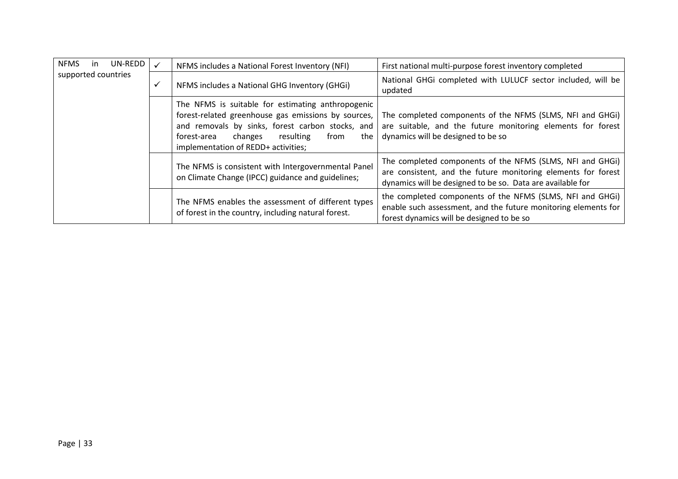| <b>NFMS</b><br>-in  |  | UN-REDD |   | NFMS includes a National Forest Inventory (NFI)                                                                                                                                                                                                           | First national multi-purpose forest inventory completed                                                                                                                                  |
|---------------------|--|---------|---|-----------------------------------------------------------------------------------------------------------------------------------------------------------------------------------------------------------------------------------------------------------|------------------------------------------------------------------------------------------------------------------------------------------------------------------------------------------|
| supported countries |  |         | ✓ | NFMS includes a National GHG Inventory (GHGi)                                                                                                                                                                                                             | National GHGi completed with LULUCF sector included, will be<br>updated                                                                                                                  |
|                     |  |         |   | The NFMS is suitable for estimating anthropogenic<br>forest-related greenhouse gas emissions by sources,<br>and removals by sinks, forest carbon stocks, and<br>forest-area<br>resulting<br>from<br>the<br>changes<br>implementation of REDD+ activities; | The completed components of the NFMS (SLMS, NFI and GHGi)<br>are suitable, and the future monitoring elements for forest<br>dynamics will be designed to be so                           |
|                     |  |         |   | The NFMS is consistent with Intergovernmental Panel<br>on Climate Change (IPCC) guidance and guidelines;                                                                                                                                                  | The completed components of the NFMS (SLMS, NFI and GHGI)<br>are consistent, and the future monitoring elements for forest<br>dynamics will be designed to be so. Data are available for |
|                     |  |         |   | The NFMS enables the assessment of different types<br>of forest in the country, including natural forest.                                                                                                                                                 | the completed components of the NFMS (SLMS, NFI and GHGi)<br>enable such assessment, and the future monitoring elements for<br>forest dynamics will be designed to be so                 |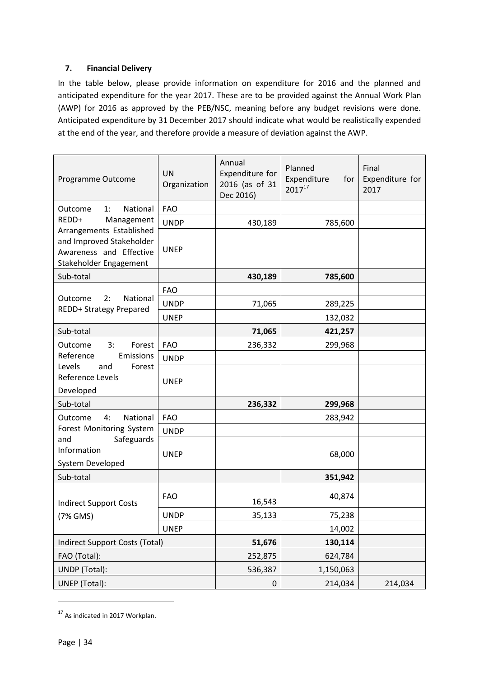# <span id="page-33-0"></span>**7. Financial Delivery**

In the table below, please provide information on expenditure for 2016 and the planned and anticipated expenditure for the year 2017. These are to be provided against the Annual Work Plan (AWP) for 2016 as approved by the PEB/NSC, meaning before any budget revisions were done. Anticipated expenditure by 31 December 2017 should indicate what would be realistically expended at the end of the year, and therefore provide a measure of deviation against the AWP.

| Programme Outcome                                                                                         | <b>UN</b><br>Organization | Annual<br>Expenditure for<br>2016 (as of 31<br>Dec 2016) | Planned<br>Expenditure<br>for<br>$2017^{17}$ | Final<br>Expenditure for<br>2017 |
|-----------------------------------------------------------------------------------------------------------|---------------------------|----------------------------------------------------------|----------------------------------------------|----------------------------------|
| National<br>Outcome<br>1:                                                                                 | <b>FAO</b>                |                                                          |                                              |                                  |
| REDD+<br>Management                                                                                       | <b>UNDP</b>               | 430,189                                                  | 785,600                                      |                                  |
| Arrangements Established<br>and Improved Stakeholder<br>Awareness and Effective<br>Stakeholder Engagement | <b>UNEP</b>               |                                                          |                                              |                                  |
| Sub-total                                                                                                 |                           | 430,189                                                  | 785,600                                      |                                  |
|                                                                                                           | <b>FAO</b>                |                                                          |                                              |                                  |
| Outcome<br>2:<br>National<br>REDD+ Strategy Prepared                                                      | <b>UNDP</b>               | 71,065                                                   | 289,225                                      |                                  |
|                                                                                                           | <b>UNEP</b>               |                                                          | 132,032                                      |                                  |
| Sub-total                                                                                                 |                           | 71,065                                                   | 421,257                                      |                                  |
| Outcome<br>3:<br>Forest                                                                                   | <b>FAO</b>                | 236,332                                                  | 299,968                                      |                                  |
| Reference<br>Emissions                                                                                    | <b>UNDP</b>               |                                                          |                                              |                                  |
| Levels<br>and<br>Forest<br>Reference Levels<br>Developed                                                  | <b>UNEP</b>               |                                                          |                                              |                                  |
| Sub-total                                                                                                 |                           | 236,332                                                  | 299,968                                      |                                  |
| 4:<br>National<br>Outcome                                                                                 | <b>FAO</b>                |                                                          | 283,942                                      |                                  |
| Forest Monitoring System                                                                                  | <b>UNDP</b>               |                                                          |                                              |                                  |
| Safeguards<br>and<br>Information<br>System Developed                                                      | <b>UNEP</b>               |                                                          | 68,000                                       |                                  |
| Sub-total                                                                                                 |                           |                                                          | 351,942                                      |                                  |
| <b>Indirect Support Costs</b>                                                                             | <b>FAO</b>                | 16,543                                                   | 40,874                                       |                                  |
| (7% GMS)                                                                                                  | <b>UNDP</b>               | 35,133                                                   | 75,238                                       |                                  |
|                                                                                                           | <b>UNEP</b>               |                                                          | 14,002                                       |                                  |
| <b>Indirect Support Costs (Total)</b>                                                                     |                           | 51,676                                                   | 130,114                                      |                                  |
| FAO (Total):                                                                                              |                           | 252,875                                                  | 624,784                                      |                                  |
| UNDP (Total):                                                                                             |                           | 536,387                                                  | 1,150,063                                    |                                  |
| UNEP (Total):                                                                                             |                           | $\pmb{0}$                                                | 214,034                                      | 214,034                          |

<sup>&</sup>lt;sup>17</sup> As indicated in 2017 Workplan.

1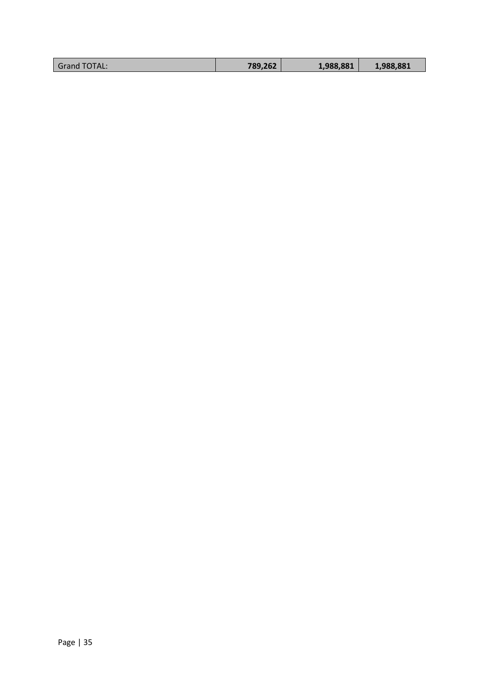| TOTAL.<br>Grand | 789,262 | 1,988,881 | 1,988,881 |
|-----------------|---------|-----------|-----------|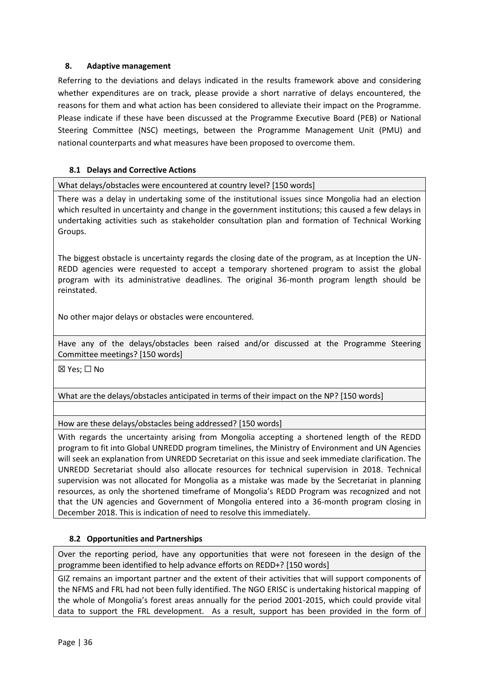## <span id="page-35-0"></span>**8. Adaptive management**

Referring to the deviations and delays indicated in the results framework above and considering whether expenditures are on track, please provide a short narrative of delays encountered, the reasons for them and what action has been considered to alleviate their impact on the Programme. Please indicate if these have been discussed at the Programme Executive Board (PEB) or National Steering Committee (NSC) meetings, between the Programme Management Unit (PMU) and national counterparts and what measures have been proposed to overcome them.

## **8.1 Delays and Corrective Actions**

What delays/obstacles were encountered at country level? [150 words]

There was a delay in undertaking some of the institutional issues since Mongolia had an election which resulted in uncertainty and change in the government institutions; this caused a few delays in undertaking activities such as stakeholder consultation plan and formation of Technical Working Groups.

The biggest obstacle is uncertainty regards the closing date of the program, as at Inception the UN-REDD agencies were requested to accept a temporary shortened program to assist the global program with its administrative deadlines. The original 36-month program length should be reinstated.

No other major delays or obstacles were encountered.

Have any of the delays/obstacles been raised and/or discussed at the Programme Steering Committee meetings? [150 words]

☒ Yes; ☐ No

What are the delays/obstacles anticipated in terms of their impact on the NP? [150 words]

How are these delays/obstacles being addressed? [150 words]

With regards the uncertainty arising from Mongolia accepting a shortened length of the REDD program to fit into Global UNREDD program timelines, the Ministry of Environment and UN Agencies will seek an explanation from UNREDD Secretariat on this issue and seek immediate clarification. The UNREDD Secretariat should also allocate resources for technical supervision in 2018. Technical supervision was not allocated for Mongolia as a mistake was made by the Secretariat in planning resources, as only the shortened timeframe of Mongolia's REDD Program was recognized and not that the UN agencies and Government of Mongolia entered into a 36-month program closing in December 2018. This is indication of need to resolve this immediately.

## **8.2 Opportunities and Partnerships**

Over the reporting period, have any opportunities that were not foreseen in the design of the programme been identified to help advance efforts on REDD+? [150 words]

GIZ remains an important partner and the extent of their activities that will support components of the NFMS and FRL had not been fully identified. The NGO ERISC is undertaking historical mapping of the whole of Mongolia's forest areas annually for the period 2001-2015, which could provide vital data to support the FRL development. As a result, support has been provided in the form of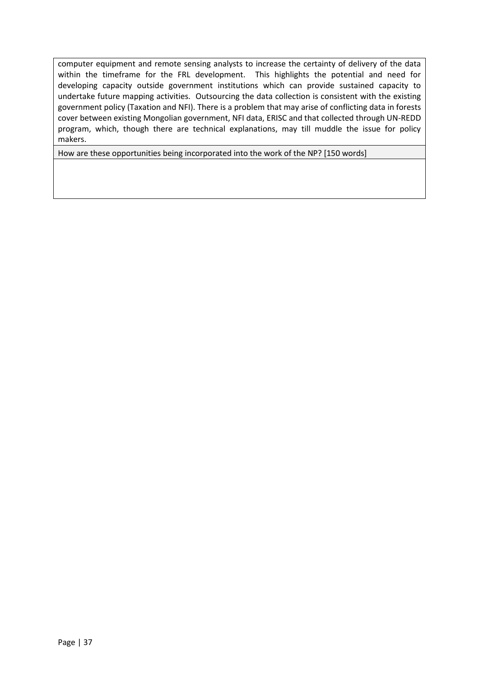computer equipment and remote sensing analysts to increase the certainty of delivery of the data within the timeframe for the FRL development. This highlights the potential and need for developing capacity outside government institutions which can provide sustained capacity to undertake future mapping activities. Outsourcing the data collection is consistent with the existing government policy (Taxation and NFI). There is a problem that may arise of conflicting data in forests cover between existing Mongolian government, NFI data, ERISC and that collected through UN-REDD program, which, though there are technical explanations, may till muddle the issue for policy makers.

How are these opportunities being incorporated into the work of the NP? [150 words]